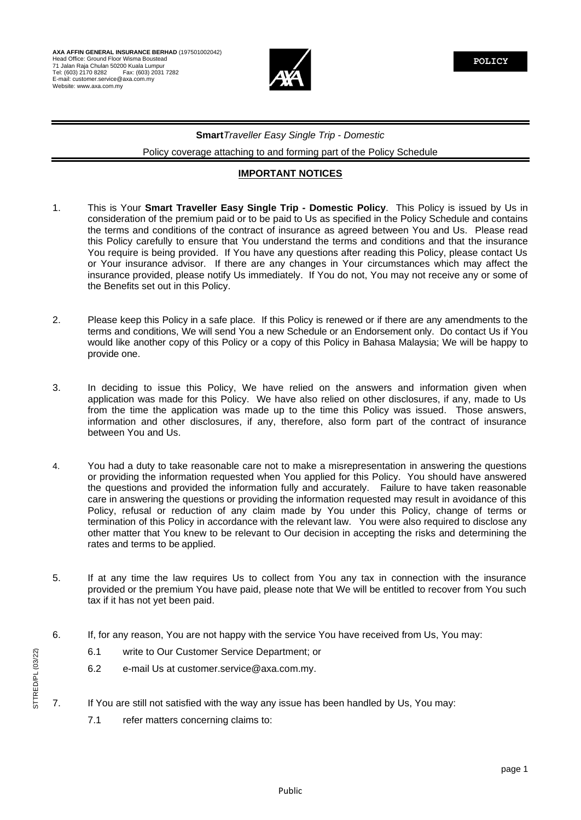

# **Smart***Traveller Easy Single Trip* - *Domestic*

Policy coverage attaching to and forming part of the Policy Schedule

## **IMPORTANT NOTICES**

- 1. This is Your **Smart Traveller Easy Single Trip - Domestic Policy**. This Policy is issued by Us in consideration of the premium paid or to be paid to Us as specified in the Policy Schedule and contains the terms and conditions of the contract of insurance as agreed between You and Us. Please read this Policy carefully to ensure that You understand the terms and conditions and that the insurance You require is being provided. If You have any questions after reading this Policy, please contact Us or Your insurance advisor. If there are any changes in Your circumstances which may affect the insurance provided, please notify Us immediately. If You do not, You may not receive any or some of the Benefits set out in this Policy.
- 2. Please keep this Policy in a safe place. If this Policy is renewed or if there are any amendments to the terms and conditions, We will send You a new Schedule or an Endorsement only. Do contact Us if You would like another copy of this Policy or a copy of this Policy in Bahasa Malaysia; We will be happy to provide one.
- 3. In deciding to issue this Policy, We have relied on the answers and information given when application was made for this Policy. We have also relied on other disclosures, if any, made to Us from the time the application was made up to the time this Policy was issued. Those answers, information and other disclosures, if any, therefore, also form part of the contract of insurance between You and Us.
- 4. You had a duty to take reasonable care not to make a misrepresentation in answering the questions or providing the information requested when You applied for this Policy. You should have answered the questions and provided the information fully and accurately. Failure to have taken reasonable care in answering the questions or providing the information requested may result in avoidance of this Policy, refusal or reduction of any claim made by You under this Policy, change of terms or termination of this Policy in accordance with the relevant law. You were also required to disclose any other matter that You knew to be relevant to Our decision in accepting the risks and determining the rates and terms to be applied.
- 5. If at any time the law requires Us to collect from You any tax in connection with the insurance provided or the premium You have paid, please note that We will be entitled to recover from You such tax if it has not yet been paid.
- 6. If, for any reason, You are not happy with the service You have received from Us, You may:
	- 6.1 write to Our Customer Service Department; or
	- 6.2 e-mail Us at [customer.service@axa.com.my.](mailto:customer.service@axa.com.my)
- 7. If You are still not satisfied with the way any issue has been handled by Us, You may:
	- 7.1 refer matters concerning claims to: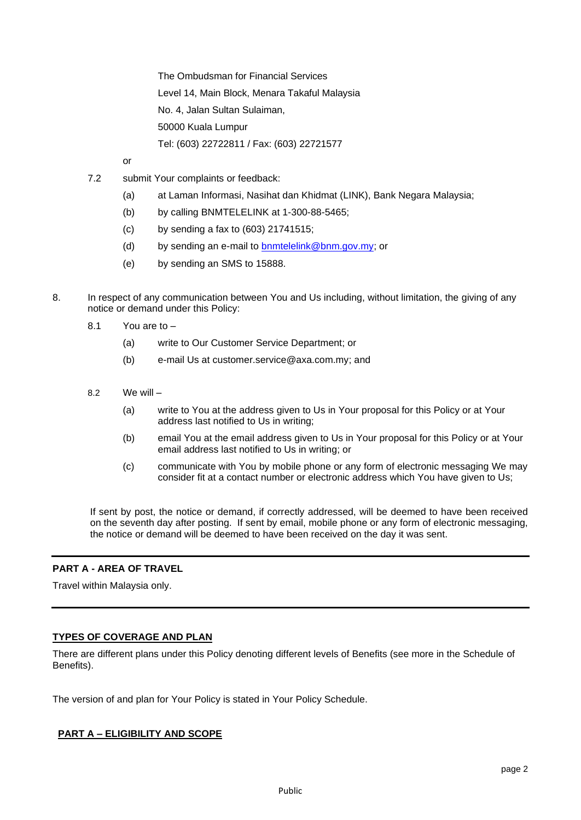The Ombudsman for Financial Services Level 14, Main Block, Menara Takaful Malaysia No. 4, Jalan Sultan Sulaiman, 50000 Kuala Lumpur Tel: (603) 22722811 / Fax: (603) 22721577

or

- 7.2 submit Your complaints or feedback:
	- (a) at Laman Informasi, Nasihat dan Khidmat (LINK), Bank Negara Malaysia;
	- (b) by calling BNMTELELINK at 1-300-88-5465;
	- (c) by sending a fax to (603) 21741515;
	- (d) by sending an e-mail to [bnmtelelink@bnm.gov.my;](mailto:bnmtelelink@bnm.gov.my) or
	- (e) by sending an SMS to 15888.
- 8. In respect of any communication between You and Us including, without limitation, the giving of any notice or demand under this Policy:
	- 8.1 You are to
		- (a) write to Our Customer Service Department; or
		- (b) e-mail Us at [customer.service@axa.com.my;](mailto:customer.service@axa.com.my) and
	- 8.2 We will
		- (a) write to You at the address given to Us in Your proposal for this Policy or at Your address last notified to Us in writing;
		- (b) email You at the email address given to Us in Your proposal for this Policy or at Your email address last notified to Us in writing; or
		- (c) communicate with You by mobile phone or any form of electronic messaging We may consider fit at a contact number or electronic address which You have given to Us;

If sent by post, the notice or demand, if correctly addressed, will be deemed to have been received on the seventh day after posting. If sent by email, mobile phone or any form of electronic messaging, the notice or demand will be deemed to have been received on the day it was sent.

# **PART A - AREA OF TRAVEL**

Travel within Malaysia only.

# **TYPES OF COVERAGE AND PLAN**

There are different plans under this Policy denoting different levels of Benefits (see more in the Schedule of Benefits).

The version of and plan for Your Policy is stated in Your Policy Schedule.

# **PART A – ELIGIBILITY AND SCOPE**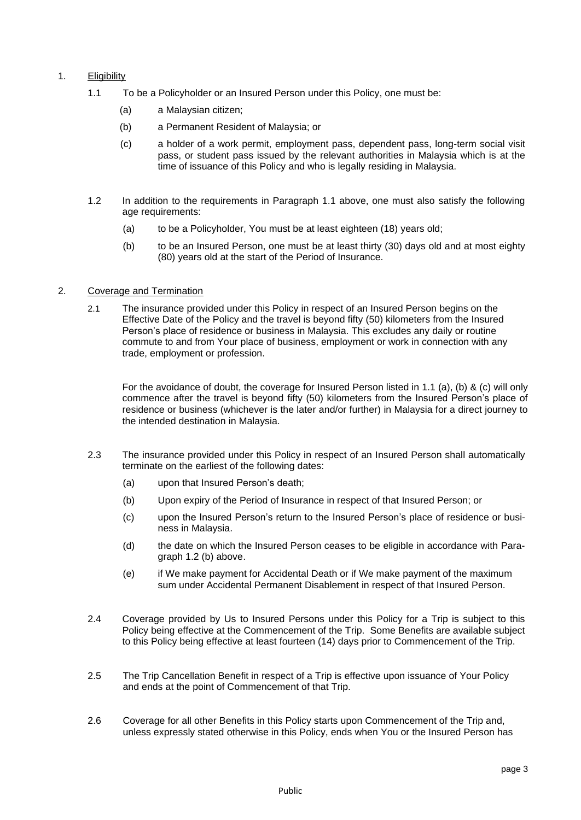# 1. Eligibility

- 1.1 To be a Policyholder or an Insured Person under this Policy, one must be:
	- (a) a Malaysian citizen;
	- (b) a Permanent Resident of Malaysia; or
	- (c) a holder of a work permit, employment pass, dependent pass, long-term social visit pass, or student pass issued by the relevant authorities in Malaysia which is at the time of issuance of this Policy and who is legally residing in Malaysia.
- 1.2 In addition to the requirements in Paragraph 1.1 above, one must also satisfy the following age requirements:
	- (a) to be a Policyholder, You must be at least eighteen (18) years old;
	- (b) to be an Insured Person, one must be at least thirty (30) days old and at most eighty (80) years old at the start of the Period of Insurance.

### 2. Coverage and Termination

2.1 The insurance provided under this Policy in respect of an Insured Person begins on the Effective Date of the Policy and the travel is beyond fifty (50) kilometers from the Insured Person's place of residence or business in Malaysia. This excludes any daily or routine commute to and from Your place of business, employment or work in connection with any trade, employment or profession.

For the avoidance of doubt, the coverage for Insured Person listed in 1.1 (a), (b) & (c) will only commence after the travel is beyond fifty (50) kilometers from the Insured Person's place of residence or business (whichever is the later and/or further) in Malaysia for a direct journey to the intended destination in Malaysia.

- 2.3 The insurance provided under this Policy in respect of an Insured Person shall automatically terminate on the earliest of the following dates:
	- (a) upon that Insured Person's death;
	- (b) Upon expiry of the Period of Insurance in respect of that Insured Person; or
	- (c) upon the Insured Person's return to the Insured Person's place of residence or business in Malaysia.
	- (d) the date on which the Insured Person ceases to be eligible in accordance with Paragraph 1.2 (b) above.
	- (e) if We make payment for Accidental Death or if We make payment of the maximum sum under Accidental Permanent Disablement in respect of that Insured Person.
- 2.4 Coverage provided by Us to Insured Persons under this Policy for a Trip is subject to this Policy being effective at the Commencement of the Trip. Some Benefits are available subject to this Policy being effective at least fourteen (14) days prior to Commencement of the Trip.
- 2.5 The Trip Cancellation Benefit in respect of a Trip is effective upon issuance of Your Policy and ends at the point of Commencement of that Trip.
- 2.6 Coverage for all other Benefits in this Policy starts upon Commencement of the Trip and, unless expressly stated otherwise in this Policy, ends when You or the Insured Person has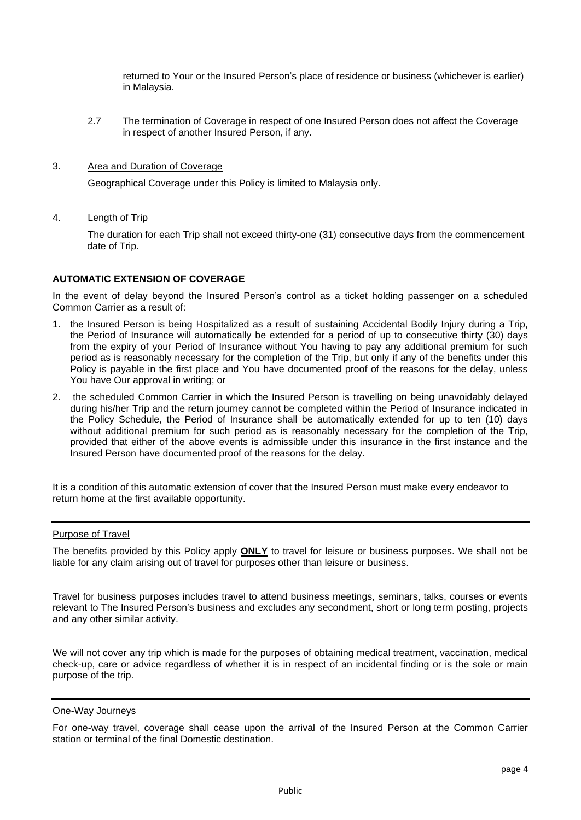returned to Your or the Insured Person's place of residence or business (whichever is earlier) in Malaysia.

- 2.7 The termination of Coverage in respect of one Insured Person does not affect the Coverage in respect of another Insured Person, if any.
- 3. Area and Duration of Coverage

Geographical Coverage under this Policy is limited to Malaysia only.

4. Length of Trip

The duration for each Trip shall not exceed thirty-one (31) consecutive days from the commencement date of Trip.

### **AUTOMATIC EXTENSION OF COVERAGE**

In the event of delay beyond the Insured Person's control as a ticket holding passenger on a scheduled Common Carrier as a result of:

- 1. the Insured Person is being Hospitalized as a result of sustaining Accidental Bodily Injury during a Trip, the Period of Insurance will automatically be extended for a period of up to consecutive thirty (30) days from the expiry of your Period of Insurance without You having to pay any additional premium for such period as is reasonably necessary for the completion of the Trip, but only if any of the benefits under this Policy is payable in the first place and You have documented proof of the reasons for the delay, unless You have Our approval in writing; or
- 2. the scheduled Common Carrier in which the Insured Person is travelling on being unavoidably delayed during his/her Trip and the return journey cannot be completed within the Period of Insurance indicated in the Policy Schedule, the Period of Insurance shall be automatically extended for up to ten (10) days without additional premium for such period as is reasonably necessary for the completion of the Trip, provided that either of the above events is admissible under this insurance in the first instance and the Insured Person have documented proof of the reasons for the delay.

It is a condition of this automatic extension of cover that the Insured Person must make every endeavor to return home at the first available opportunity.

### Purpose of Travel

The benefits provided by this Policy apply **ONLY** to travel for leisure or business purposes. We shall not be liable for any claim arising out of travel for purposes other than leisure or business.

Travel for business purposes includes travel to attend business meetings, seminars, talks, courses or events relevant to The Insured Person's business and excludes any secondment, short or long term posting, projects and any other similar activity.

We will not cover any trip which is made for the purposes of obtaining medical treatment, vaccination, medical check-up, care or advice regardless of whether it is in respect of an incidental finding or is the sole or main purpose of the trip.

#### One-Way Journeys

For one-way travel, coverage shall cease upon the arrival of the Insured Person at the Common Carrier station or terminal of the final Domestic destination.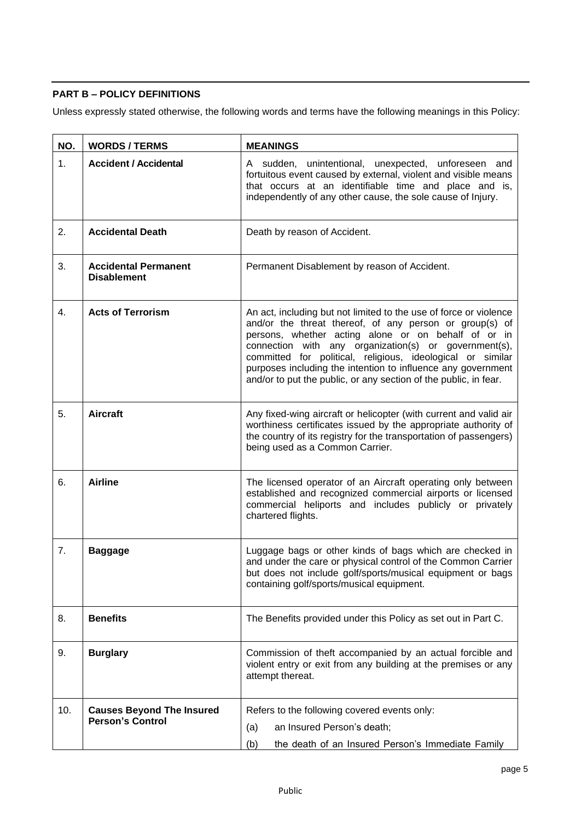# **PART B – POLICY DEFINITIONS**

Unless expressly stated otherwise, the following words and terms have the following meanings in this Policy:

| NO. | <b>WORDS / TERMS</b>                              | <b>MEANINGS</b>                                                                                                                                                                                                                                                                                                                                                                                                                                |  |
|-----|---------------------------------------------------|------------------------------------------------------------------------------------------------------------------------------------------------------------------------------------------------------------------------------------------------------------------------------------------------------------------------------------------------------------------------------------------------------------------------------------------------|--|
| 1.  | <b>Accident / Accidental</b>                      | A sudden, unintentional, unexpected, unforeseen and<br>fortuitous event caused by external, violent and visible means<br>that occurs at an identifiable time and place and is,<br>independently of any other cause, the sole cause of Injury.                                                                                                                                                                                                  |  |
| 2.  | <b>Accidental Death</b>                           | Death by reason of Accident.                                                                                                                                                                                                                                                                                                                                                                                                                   |  |
| 3.  | <b>Accidental Permanent</b><br><b>Disablement</b> | Permanent Disablement by reason of Accident.                                                                                                                                                                                                                                                                                                                                                                                                   |  |
| 4.  | <b>Acts of Terrorism</b>                          | An act, including but not limited to the use of force or violence<br>and/or the threat thereof, of any person or group(s) of<br>persons, whether acting alone or on behalf of or in<br>connection with any organization(s) or government(s),<br>committed for political, religious, ideological or similar<br>purposes including the intention to influence any government<br>and/or to put the public, or any section of the public, in fear. |  |
| 5.  | <b>Aircraft</b>                                   | Any fixed-wing aircraft or helicopter (with current and valid air<br>worthiness certificates issued by the appropriate authority of<br>the country of its registry for the transportation of passengers)<br>being used as a Common Carrier.                                                                                                                                                                                                    |  |
| 6.  | <b>Airline</b>                                    | The licensed operator of an Aircraft operating only between<br>established and recognized commercial airports or licensed<br>commercial heliports and includes publicly or privately<br>chartered flights.                                                                                                                                                                                                                                     |  |
| 7.  | <b>Baggage</b>                                    | Luggage bags or other kinds of bags which are checked in<br>and under the care or physical control of the Common Carrier<br>but does not include golf/sports/musical equipment or bags<br>containing golf/sports/musical equipment.                                                                                                                                                                                                            |  |
| 8.  | <b>Benefits</b>                                   | The Benefits provided under this Policy as set out in Part C.                                                                                                                                                                                                                                                                                                                                                                                  |  |
| 9.  | <b>Burglary</b>                                   | Commission of theft accompanied by an actual forcible and<br>violent entry or exit from any building at the premises or any<br>attempt thereat.                                                                                                                                                                                                                                                                                                |  |
| 10. | <b>Causes Beyond The Insured</b>                  | Refers to the following covered events only:                                                                                                                                                                                                                                                                                                                                                                                                   |  |
|     | <b>Person's Control</b>                           | an Insured Person's death;<br>(a)                                                                                                                                                                                                                                                                                                                                                                                                              |  |
|     |                                                   | the death of an Insured Person's Immediate Family<br>(b)                                                                                                                                                                                                                                                                                                                                                                                       |  |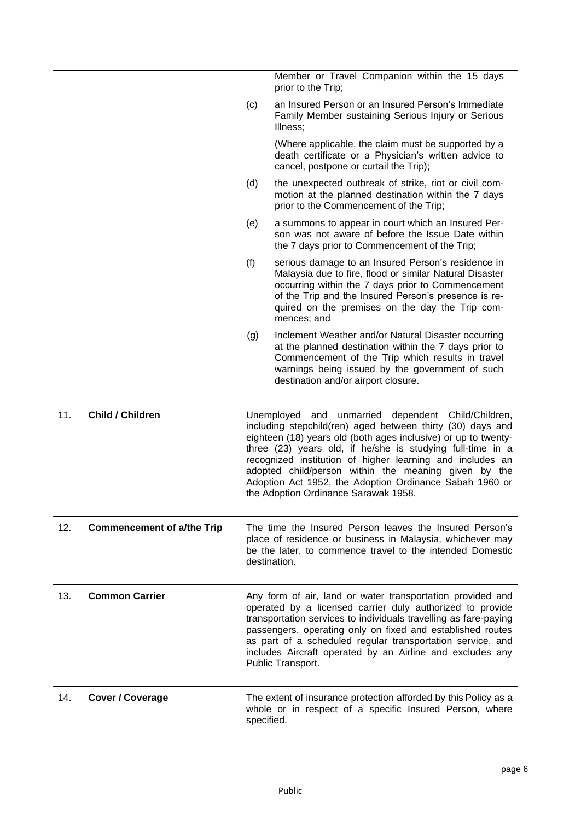|     |                                   |                                                                                                                                                                                                                                                                                                                                                                                                                                                                          | Member or Travel Companion within the 15 days<br>prior to the Trip;                                                                                                                                                                                                                          |
|-----|-----------------------------------|--------------------------------------------------------------------------------------------------------------------------------------------------------------------------------------------------------------------------------------------------------------------------------------------------------------------------------------------------------------------------------------------------------------------------------------------------------------------------|----------------------------------------------------------------------------------------------------------------------------------------------------------------------------------------------------------------------------------------------------------------------------------------------|
|     |                                   | (c)                                                                                                                                                                                                                                                                                                                                                                                                                                                                      | an Insured Person or an Insured Person's Immediate<br>Family Member sustaining Serious Injury or Serious<br>Illness;                                                                                                                                                                         |
|     |                                   |                                                                                                                                                                                                                                                                                                                                                                                                                                                                          | (Where applicable, the claim must be supported by a<br>death certificate or a Physician's written advice to<br>cancel, postpone or curtail the Trip);                                                                                                                                        |
|     |                                   | (d)                                                                                                                                                                                                                                                                                                                                                                                                                                                                      | the unexpected outbreak of strike, riot or civil com-<br>motion at the planned destination within the 7 days<br>prior to the Commencement of the Trip;                                                                                                                                       |
|     |                                   | (e)                                                                                                                                                                                                                                                                                                                                                                                                                                                                      | a summons to appear in court which an Insured Per-<br>son was not aware of before the Issue Date within<br>the 7 days prior to Commencement of the Trip;                                                                                                                                     |
|     |                                   | (f)                                                                                                                                                                                                                                                                                                                                                                                                                                                                      | serious damage to an Insured Person's residence in<br>Malaysia due to fire, flood or similar Natural Disaster<br>occurring within the 7 days prior to Commencement<br>of the Trip and the Insured Person's presence is re-<br>quired on the premises on the day the Trip com-<br>mences; and |
|     |                                   | (g)                                                                                                                                                                                                                                                                                                                                                                                                                                                                      | Inclement Weather and/or Natural Disaster occurring<br>at the planned destination within the 7 days prior to<br>Commencement of the Trip which results in travel<br>warnings being issued by the government of such<br>destination and/or airport closure.                                   |
| 11. | <b>Child / Children</b>           | Unemployed and unmarried dependent Child/Children,<br>including stepchild(ren) aged between thirty (30) days and<br>eighteen (18) years old (both ages inclusive) or up to twenty-<br>three (23) years old, if he/she is studying full-time in a<br>recognized institution of higher learning and includes an<br>adopted child/person within the meaning given by the<br>Adoption Act 1952, the Adoption Ordinance Sabah 1960 or<br>the Adoption Ordinance Sarawak 1958. |                                                                                                                                                                                                                                                                                              |
| 12. | <b>Commencement of a/the Trip</b> |                                                                                                                                                                                                                                                                                                                                                                                                                                                                          | The time the Insured Person leaves the Insured Person's<br>place of residence or business in Malaysia, whichever may<br>be the later, to commence travel to the intended Domestic<br>destination.                                                                                            |
| 13. | <b>Common Carrier</b>             |                                                                                                                                                                                                                                                                                                                                                                                                                                                                          | Any form of air, land or water transportation provided and<br>operated by a licensed carrier duly authorized to provide<br>transportation services to individuals travelling as fare-paying                                                                                                  |
|     |                                   |                                                                                                                                                                                                                                                                                                                                                                                                                                                                          | passengers, operating only on fixed and established routes<br>as part of a scheduled regular transportation service, and<br>includes Aircraft operated by an Airline and excludes any<br>Public Transport.                                                                                   |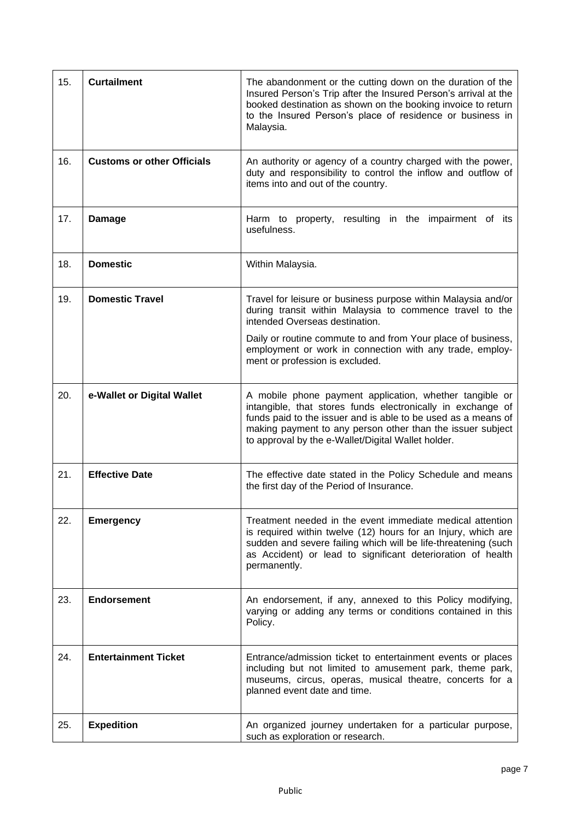| 15. | <b>Curtailment</b>                | The abandonment or the cutting down on the duration of the<br>Insured Person's Trip after the Insured Person's arrival at the<br>booked destination as shown on the booking invoice to return<br>to the Insured Person's place of residence or business in<br>Malaysia.                                     |  |
|-----|-----------------------------------|-------------------------------------------------------------------------------------------------------------------------------------------------------------------------------------------------------------------------------------------------------------------------------------------------------------|--|
| 16. | <b>Customs or other Officials</b> | An authority or agency of a country charged with the power,<br>duty and responsibility to control the inflow and outflow of<br>items into and out of the country.                                                                                                                                           |  |
| 17. | <b>Damage</b>                     | Harm to property, resulting in the impairment of its<br>usefulness.                                                                                                                                                                                                                                         |  |
| 18. | <b>Domestic</b>                   | Within Malaysia.                                                                                                                                                                                                                                                                                            |  |
| 19. | <b>Domestic Travel</b>            | Travel for leisure or business purpose within Malaysia and/or<br>during transit within Malaysia to commence travel to the<br>intended Overseas destination.                                                                                                                                                 |  |
|     |                                   | Daily or routine commute to and from Your place of business,<br>employment or work in connection with any trade, employ-<br>ment or profession is excluded.                                                                                                                                                 |  |
| 20. | e-Wallet or Digital Wallet        | A mobile phone payment application, whether tangible or<br>intangible, that stores funds electronically in exchange of<br>funds paid to the issuer and is able to be used as a means of<br>making payment to any person other than the issuer subject<br>to approval by the e-Wallet/Digital Wallet holder. |  |
| 21. | <b>Effective Date</b>             | The effective date stated in the Policy Schedule and means<br>the first day of the Period of Insurance.                                                                                                                                                                                                     |  |
| 22. | <b>Emergency</b>                  | Treatment needed in the event immediate medical attention<br>is required within twelve (12) hours for an Injury, which are<br>sudden and severe failing which will be life-threatening (such<br>as Accident) or lead to significant deterioration of health<br>permanently.                                 |  |
| 23. | <b>Endorsement</b>                | An endorsement, if any, annexed to this Policy modifying,<br>varying or adding any terms or conditions contained in this<br>Policy.                                                                                                                                                                         |  |
| 24. | <b>Entertainment Ticket</b>       | Entrance/admission ticket to entertainment events or places<br>including but not limited to amusement park, theme park,<br>museums, circus, operas, musical theatre, concerts for a<br>planned event date and time.                                                                                         |  |
| 25. | <b>Expedition</b>                 | An organized journey undertaken for a particular purpose,<br>such as exploration or research.                                                                                                                                                                                                               |  |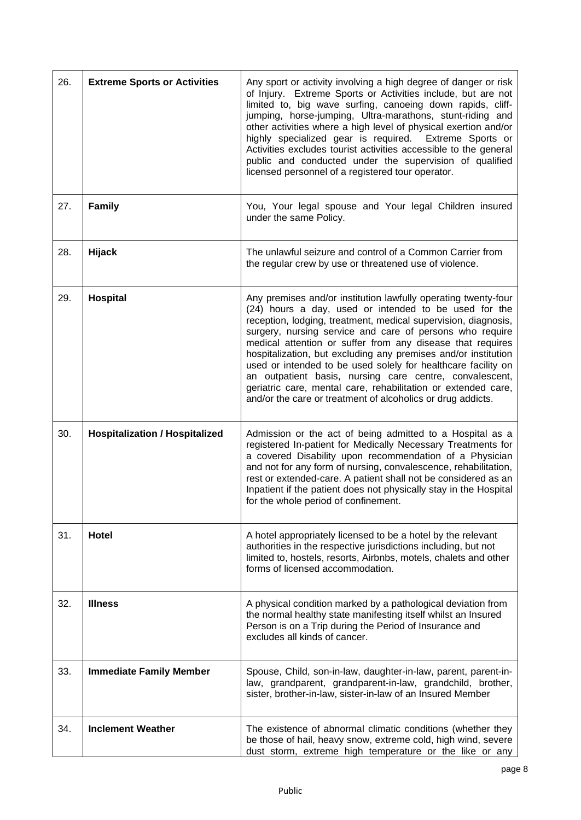| 26. | <b>Extreme Sports or Activities</b>   | Any sport or activity involving a high degree of danger or risk<br>of Injury. Extreme Sports or Activities include, but are not<br>limited to, big wave surfing, canoeing down rapids, cliff-<br>jumping, horse-jumping, Ultra-marathons, stunt-riding and<br>other activities where a high level of physical exertion and/or<br>highly specialized gear is required. Extreme Sports or<br>Activities excludes tourist activities accessible to the general<br>public and conducted under the supervision of qualified<br>licensed personnel of a registered tour operator.                                                                       |
|-----|---------------------------------------|---------------------------------------------------------------------------------------------------------------------------------------------------------------------------------------------------------------------------------------------------------------------------------------------------------------------------------------------------------------------------------------------------------------------------------------------------------------------------------------------------------------------------------------------------------------------------------------------------------------------------------------------------|
| 27. | <b>Family</b>                         | You, Your legal spouse and Your legal Children insured<br>under the same Policy.                                                                                                                                                                                                                                                                                                                                                                                                                                                                                                                                                                  |
| 28. | <b>Hijack</b>                         | The unlawful seizure and control of a Common Carrier from<br>the regular crew by use or threatened use of violence.                                                                                                                                                                                                                                                                                                                                                                                                                                                                                                                               |
| 29. | Hospital                              | Any premises and/or institution lawfully operating twenty-four<br>(24) hours a day, used or intended to be used for the<br>reception, lodging, treatment, medical supervision, diagnosis,<br>surgery, nursing service and care of persons who require<br>medical attention or suffer from any disease that requires<br>hospitalization, but excluding any premises and/or institution<br>used or intended to be used solely for healthcare facility on<br>an outpatient basis, nursing care centre, convalescent,<br>geriatric care, mental care, rehabilitation or extended care,<br>and/or the care or treatment of alcoholics or drug addicts. |
| 30. | <b>Hospitalization / Hospitalized</b> | Admission or the act of being admitted to a Hospital as a<br>registered In-patient for Medically Necessary Treatments for<br>a covered Disability upon recommendation of a Physician<br>and not for any form of nursing, convalescence, rehabilitation,<br>rest or extended-care. A patient shall not be considered as an<br>Inpatient if the patient does not physically stay in the Hospital<br>for the whole period of confinement.                                                                                                                                                                                                            |
| 31. | Hotel                                 | A hotel appropriately licensed to be a hotel by the relevant<br>authorities in the respective jurisdictions including, but not<br>limited to, hostels, resorts, Airbnbs, motels, chalets and other<br>forms of licensed accommodation.                                                                                                                                                                                                                                                                                                                                                                                                            |
| 32. | <b>Illness</b>                        | A physical condition marked by a pathological deviation from<br>the normal healthy state manifesting itself whilst an Insured<br>Person is on a Trip during the Period of Insurance and<br>excludes all kinds of cancer.                                                                                                                                                                                                                                                                                                                                                                                                                          |
| 33. | <b>Immediate Family Member</b>        | Spouse, Child, son-in-law, daughter-in-law, parent, parent-in-<br>law, grandparent, grandparent-in-law, grandchild, brother,<br>sister, brother-in-law, sister-in-law of an Insured Member                                                                                                                                                                                                                                                                                                                                                                                                                                                        |
| 34. | <b>Inclement Weather</b>              | The existence of abnormal climatic conditions (whether they<br>be those of hail, heavy snow, extreme cold, high wind, severe<br>dust storm, extreme high temperature or the like or any                                                                                                                                                                                                                                                                                                                                                                                                                                                           |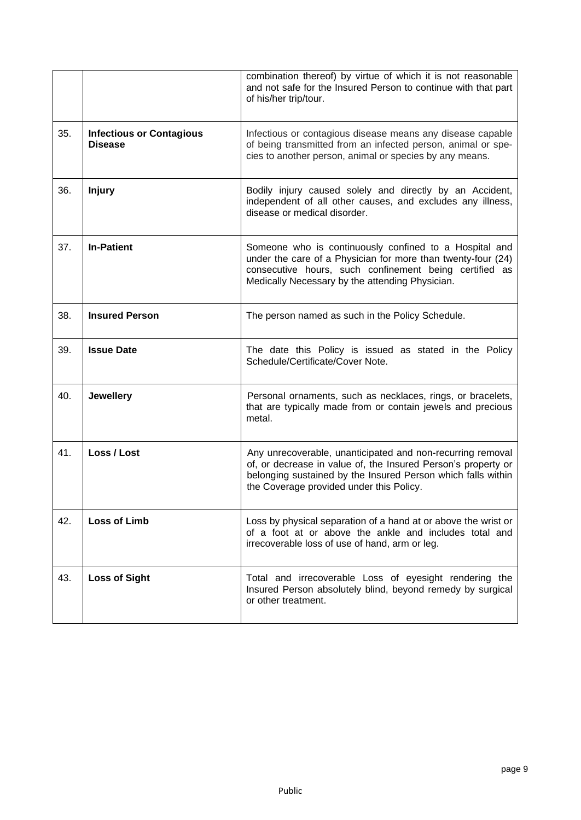|     |                                                   | combination thereof) by virtue of which it is not reasonable<br>and not safe for the Insured Person to continue with that part<br>of his/her trip/tour.                                                                                 |
|-----|---------------------------------------------------|-----------------------------------------------------------------------------------------------------------------------------------------------------------------------------------------------------------------------------------------|
| 35. | <b>Infectious or Contagious</b><br><b>Disease</b> | Infectious or contagious disease means any disease capable<br>of being transmitted from an infected person, animal or spe-<br>cies to another person, animal or species by any means.                                                   |
| 36. | <b>Injury</b>                                     | Bodily injury caused solely and directly by an Accident,<br>independent of all other causes, and excludes any illness,<br>disease or medical disorder.                                                                                  |
| 37. | <b>In-Patient</b>                                 | Someone who is continuously confined to a Hospital and<br>under the care of a Physician for more than twenty-four (24)<br>consecutive hours, such confinement being certified as<br>Medically Necessary by the attending Physician.     |
| 38. | <b>Insured Person</b>                             | The person named as such in the Policy Schedule.                                                                                                                                                                                        |
| 39. | <b>Issue Date</b>                                 | The date this Policy is issued as stated in the Policy<br>Schedule/Certificate/Cover Note.                                                                                                                                              |
| 40. | <b>Jewellery</b>                                  | Personal ornaments, such as necklaces, rings, or bracelets,<br>that are typically made from or contain jewels and precious<br>metal.                                                                                                    |
| 41. | Loss / Lost                                       | Any unrecoverable, unanticipated and non-recurring removal<br>of, or decrease in value of, the Insured Person's property or<br>belonging sustained by the Insured Person which falls within<br>the Coverage provided under this Policy. |
| 42. | <b>Loss of Limb</b>                               | Loss by physical separation of a hand at or above the wrist or<br>of a foot at or above the ankle and includes total and<br>irrecoverable loss of use of hand, arm or leg.                                                              |
| 43. | <b>Loss of Sight</b>                              | Total and irrecoverable Loss of eyesight rendering the<br>Insured Person absolutely blind, beyond remedy by surgical<br>or other treatment.                                                                                             |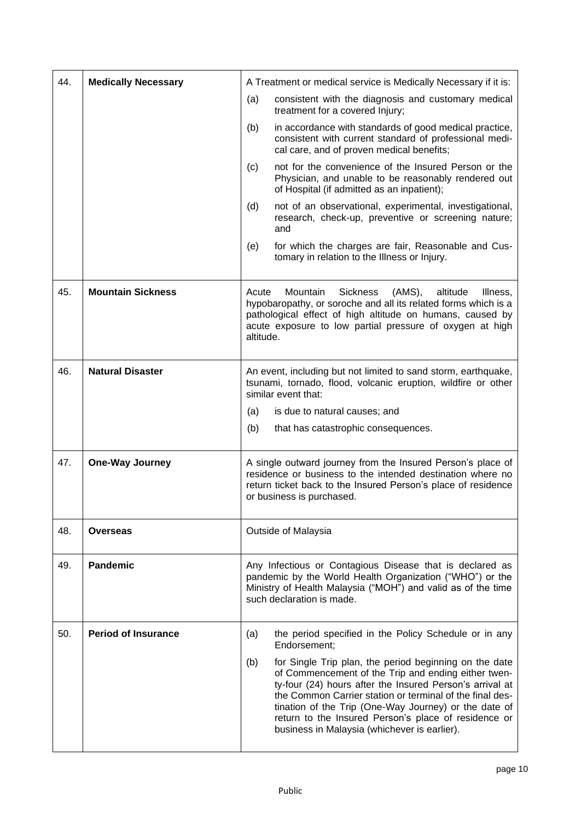| 44. | <b>Medically Necessary</b> | A Treatment or medical service is Medically Necessary if it is:                                                                                                                                                                                                                                                                                                                                               |  |
|-----|----------------------------|---------------------------------------------------------------------------------------------------------------------------------------------------------------------------------------------------------------------------------------------------------------------------------------------------------------------------------------------------------------------------------------------------------------|--|
|     |                            | (a)<br>consistent with the diagnosis and customary medical<br>treatment for a covered Injury;                                                                                                                                                                                                                                                                                                                 |  |
|     |                            | (b)<br>in accordance with standards of good medical practice,<br>consistent with current standard of professional medi-<br>cal care, and of proven medical benefits;                                                                                                                                                                                                                                          |  |
|     |                            | not for the convenience of the Insured Person or the<br>(c)<br>Physician, and unable to be reasonably rendered out<br>of Hospital (if admitted as an inpatient);                                                                                                                                                                                                                                              |  |
|     |                            | (d)<br>not of an observational, experimental, investigational,<br>research, check-up, preventive or screening nature;<br>and                                                                                                                                                                                                                                                                                  |  |
|     |                            | (e)<br>for which the charges are fair, Reasonable and Cus-<br>tomary in relation to the Illness or Injury.                                                                                                                                                                                                                                                                                                    |  |
| 45. | <b>Mountain Sickness</b>   | Acute<br>Mountain<br><b>Sickness</b><br>(AMS),<br>altitude<br>Illness,<br>hypobaropathy, or soroche and all its related forms which is a<br>pathological effect of high altitude on humans, caused by<br>acute exposure to low partial pressure of oxygen at high<br>altitude.                                                                                                                                |  |
| 46. | <b>Natural Disaster</b>    | An event, including but not limited to sand storm, earthquake,<br>tsunami, tornado, flood, volcanic eruption, wildfire or other<br>similar event that:                                                                                                                                                                                                                                                        |  |
|     |                            | is due to natural causes; and<br>(a)                                                                                                                                                                                                                                                                                                                                                                          |  |
|     |                            | (b)<br>that has catastrophic consequences.                                                                                                                                                                                                                                                                                                                                                                    |  |
| 47. | <b>One-Way Journey</b>     | A single outward journey from the Insured Person's place of<br>residence or business to the intended destination where no<br>return ticket back to the Insured Person's place of residence<br>or business is purchased.                                                                                                                                                                                       |  |
| 48. | <b>Overseas</b>            | Outside of Malaysia                                                                                                                                                                                                                                                                                                                                                                                           |  |
| 49. | <b>Pandemic</b>            | Any Infectious or Contagious Disease that is declared as<br>pandemic by the World Health Organization ("WHO") or the<br>Ministry of Health Malaysia ("MOH") and valid as of the time<br>such declaration is made.                                                                                                                                                                                             |  |
| 50. | <b>Period of Insurance</b> | the period specified in the Policy Schedule or in any<br>(a)<br>Endorsement;                                                                                                                                                                                                                                                                                                                                  |  |
|     |                            | for Single Trip plan, the period beginning on the date<br>(b)<br>of Commencement of the Trip and ending either twen-<br>ty-four (24) hours after the Insured Person's arrival at<br>the Common Carrier station or terminal of the final des-<br>tination of the Trip (One-Way Journey) or the date of<br>return to the Insured Person's place of residence or<br>business in Malaysia (whichever is earlier). |  |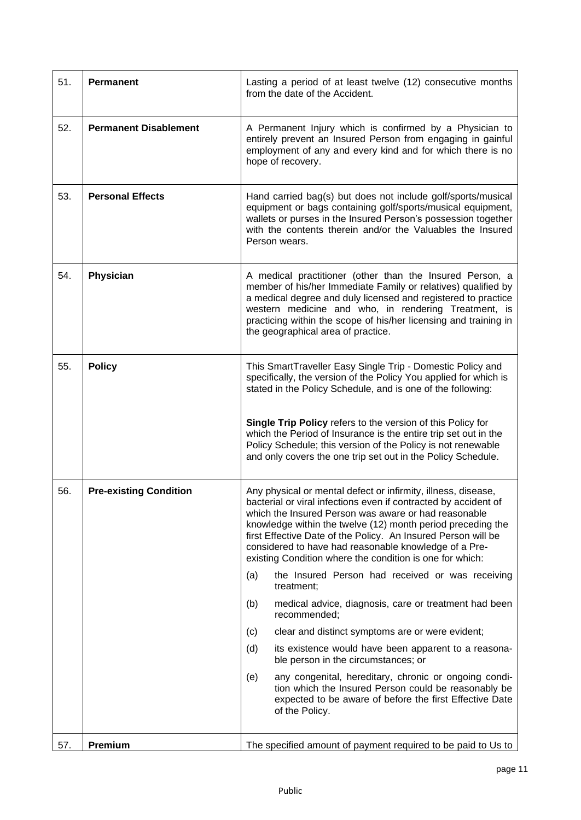| 51. | <b>Permanent</b>              | Lasting a period of at least twelve (12) consecutive months<br>from the date of the Accident.                                                                                                                                                                                                                                                                                                                                                 |  |
|-----|-------------------------------|-----------------------------------------------------------------------------------------------------------------------------------------------------------------------------------------------------------------------------------------------------------------------------------------------------------------------------------------------------------------------------------------------------------------------------------------------|--|
| 52. | <b>Permanent Disablement</b>  | A Permanent Injury which is confirmed by a Physician to<br>entirely prevent an Insured Person from engaging in gainful<br>employment of any and every kind and for which there is no<br>hope of recovery.                                                                                                                                                                                                                                     |  |
| 53. | <b>Personal Effects</b>       | Hand carried bag(s) but does not include golf/sports/musical<br>equipment or bags containing golf/sports/musical equipment,<br>wallets or purses in the Insured Person's possession together<br>with the contents therein and/or the Valuables the Insured<br>Person wears.                                                                                                                                                                   |  |
| 54. | Physician                     | A medical practitioner (other than the Insured Person, a<br>member of his/her Immediate Family or relatives) qualified by<br>a medical degree and duly licensed and registered to practice<br>western medicine and who, in rendering Treatment, is<br>practicing within the scope of his/her licensing and training in<br>the geographical area of practice.                                                                                  |  |
| 55. | <b>Policy</b>                 | This SmartTraveller Easy Single Trip - Domestic Policy and<br>specifically, the version of the Policy You applied for which is<br>stated in the Policy Schedule, and is one of the following:                                                                                                                                                                                                                                                 |  |
|     |                               | Single Trip Policy refers to the version of this Policy for<br>which the Period of Insurance is the entire trip set out in the<br>Policy Schedule; this version of the Policy is not renewable<br>and only covers the one trip set out in the Policy Schedule.                                                                                                                                                                                |  |
| 56. | <b>Pre-existing Condition</b> | Any physical or mental defect or infirmity, illness, disease,<br>bacterial or viral infections even if contracted by accident of<br>which the Insured Person was aware or had reasonable<br>knowledge within the twelve (12) month period preceding the<br>first Effective Date of the Policy. An Insured Person will be<br>considered to have had reasonable knowledge of a Pre-<br>existing Condition where the condition is one for which: |  |
|     |                               | the Insured Person had received or was receiving<br>(a)<br>treatment;                                                                                                                                                                                                                                                                                                                                                                         |  |
|     |                               | medical advice, diagnosis, care or treatment had been<br>(b)<br>recommended:                                                                                                                                                                                                                                                                                                                                                                  |  |
|     |                               | clear and distinct symptoms are or were evident;<br>(c)                                                                                                                                                                                                                                                                                                                                                                                       |  |
|     |                               | (d)<br>its existence would have been apparent to a reasona-<br>ble person in the circumstances; or                                                                                                                                                                                                                                                                                                                                            |  |
|     |                               | (e)<br>any congenital, hereditary, chronic or ongoing condi-<br>tion which the Insured Person could be reasonably be<br>expected to be aware of before the first Effective Date<br>of the Policy.                                                                                                                                                                                                                                             |  |
| 57. | Premium                       | The specified amount of payment required to be paid to Us to                                                                                                                                                                                                                                                                                                                                                                                  |  |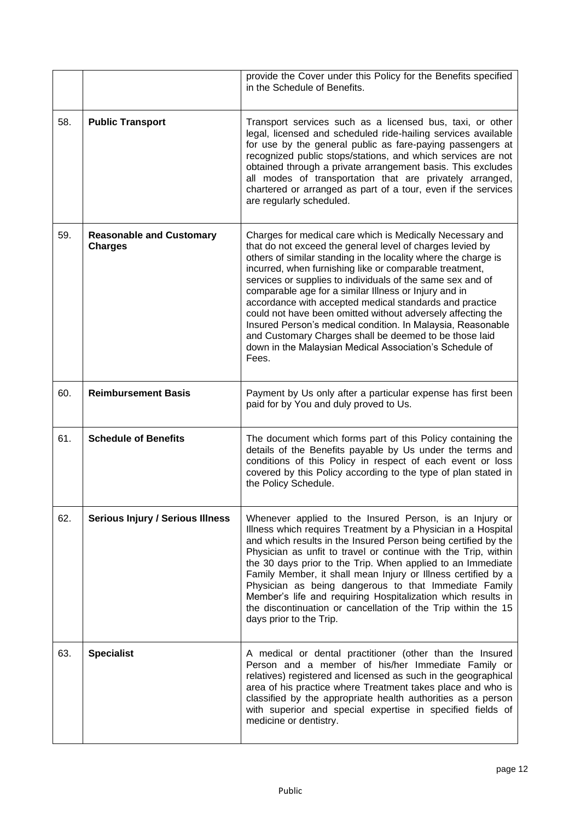|     |                                                   | provide the Cover under this Policy for the Benefits specified<br>in the Schedule of Benefits.                                                                                                                                                                                                                                                                                                                                                                                                                                                                                                                                                                                                    |
|-----|---------------------------------------------------|---------------------------------------------------------------------------------------------------------------------------------------------------------------------------------------------------------------------------------------------------------------------------------------------------------------------------------------------------------------------------------------------------------------------------------------------------------------------------------------------------------------------------------------------------------------------------------------------------------------------------------------------------------------------------------------------------|
| 58. | <b>Public Transport</b>                           | Transport services such as a licensed bus, taxi, or other<br>legal, licensed and scheduled ride-hailing services available<br>for use by the general public as fare-paying passengers at<br>recognized public stops/stations, and which services are not<br>obtained through a private arrangement basis. This excludes<br>all modes of transportation that are privately arranged,<br>chartered or arranged as part of a tour, even if the services<br>are regularly scheduled.                                                                                                                                                                                                                  |
| 59. | <b>Reasonable and Customary</b><br><b>Charges</b> | Charges for medical care which is Medically Necessary and<br>that do not exceed the general level of charges levied by<br>others of similar standing in the locality where the charge is<br>incurred, when furnishing like or comparable treatment,<br>services or supplies to individuals of the same sex and of<br>comparable age for a similar Illness or Injury and in<br>accordance with accepted medical standards and practice<br>could not have been omitted without adversely affecting the<br>Insured Person's medical condition. In Malaysia, Reasonable<br>and Customary Charges shall be deemed to be those laid<br>down in the Malaysian Medical Association's Schedule of<br>Fees. |
| 60. | <b>Reimbursement Basis</b>                        | Payment by Us only after a particular expense has first been<br>paid for by You and duly proved to Us.                                                                                                                                                                                                                                                                                                                                                                                                                                                                                                                                                                                            |
| 61. | <b>Schedule of Benefits</b>                       | The document which forms part of this Policy containing the<br>details of the Benefits payable by Us under the terms and<br>conditions of this Policy in respect of each event or loss<br>covered by this Policy according to the type of plan stated in<br>the Policy Schedule.                                                                                                                                                                                                                                                                                                                                                                                                                  |
| 62. | <b>Serious Injury / Serious Illness</b>           | Whenever applied to the Insured Person, is an Injury or<br>Illness which requires Treatment by a Physician in a Hospital<br>and which results in the Insured Person being certified by the<br>Physician as unfit to travel or continue with the Trip, within<br>the 30 days prior to the Trip. When applied to an Immediate<br>Family Member, it shall mean Injury or Illness certified by a<br>Physician as being dangerous to that Immediate Family<br>Member's life and requiring Hospitalization which results in<br>the discontinuation or cancellation of the Trip within the 15<br>days prior to the Trip.                                                                                 |
| 63. | <b>Specialist</b>                                 | A medical or dental practitioner (other than the Insured<br>Person and a member of his/her Immediate Family or<br>relatives) registered and licensed as such in the geographical<br>area of his practice where Treatment takes place and who is<br>classified by the appropriate health authorities as a person<br>with superior and special expertise in specified fields of<br>medicine or dentistry.                                                                                                                                                                                                                                                                                           |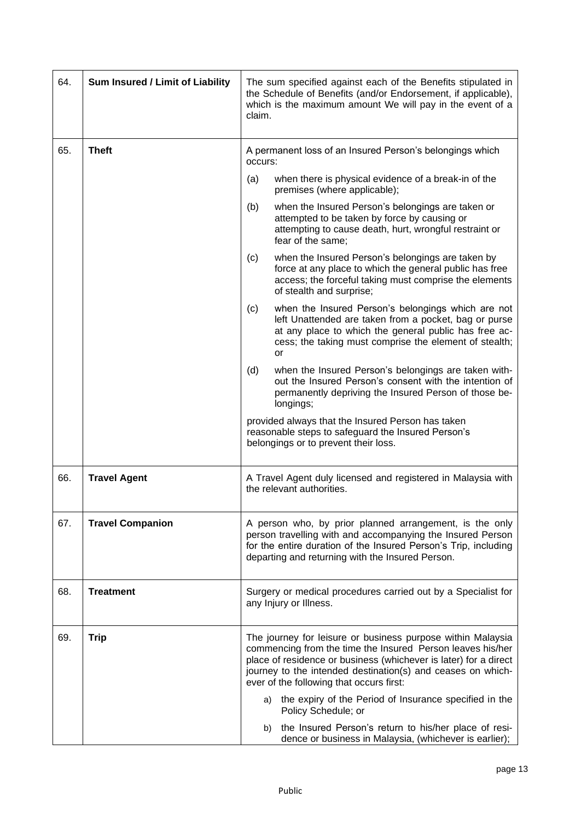| 64. | Sum Insured / Limit of Liability | The sum specified against each of the Benefits stipulated in<br>the Schedule of Benefits (and/or Endorsement, if applicable),<br>which is the maximum amount We will pay in the event of a<br>claim.                                                                                                     |  |  |
|-----|----------------------------------|----------------------------------------------------------------------------------------------------------------------------------------------------------------------------------------------------------------------------------------------------------------------------------------------------------|--|--|
| 65. | <b>Theft</b>                     | A permanent loss of an Insured Person's belongings which<br>occurs:                                                                                                                                                                                                                                      |  |  |
|     |                                  | when there is physical evidence of a break-in of the<br>(a)<br>premises (where applicable);                                                                                                                                                                                                              |  |  |
|     |                                  | (b)<br>when the Insured Person's belongings are taken or<br>attempted to be taken by force by causing or<br>attempting to cause death, hurt, wrongful restraint or<br>fear of the same;                                                                                                                  |  |  |
|     |                                  | when the Insured Person's belongings are taken by<br>(c)<br>force at any place to which the general public has free<br>access; the forceful taking must comprise the elements<br>of stealth and surprise;                                                                                                |  |  |
|     |                                  | (c)<br>when the Insured Person's belongings which are not<br>left Unattended are taken from a pocket, bag or purse<br>at any place to which the general public has free ac-<br>cess; the taking must comprise the element of stealth;<br>or                                                              |  |  |
|     |                                  | when the Insured Person's belongings are taken with-<br>(d)<br>out the Insured Person's consent with the intention of<br>permanently depriving the Insured Person of those be-<br>longings;                                                                                                              |  |  |
|     |                                  | provided always that the Insured Person has taken<br>reasonable steps to safeguard the Insured Person's<br>belongings or to prevent their loss.                                                                                                                                                          |  |  |
| 66. | <b>Travel Agent</b>              | A Travel Agent duly licensed and registered in Malaysia with<br>the relevant authorities.                                                                                                                                                                                                                |  |  |
| 67. | <b>Travel Companion</b>          | A person who, by prior planned arrangement, is the only<br>person travelling with and accompanying the Insured Person<br>for the entire duration of the Insured Person's Trip, including<br>departing and returning with the Insured Person.                                                             |  |  |
| 68. | <b>Treatment</b>                 | Surgery or medical procedures carried out by a Specialist for<br>any Injury or Illness.                                                                                                                                                                                                                  |  |  |
| 69. | <b>Trip</b>                      | The journey for leisure or business purpose within Malaysia<br>commencing from the time the Insured Person leaves his/her<br>place of residence or business (whichever is later) for a direct<br>journey to the intended destination(s) and ceases on which-<br>ever of the following that occurs first: |  |  |
|     |                                  | the expiry of the Period of Insurance specified in the<br>a)<br>Policy Schedule; or                                                                                                                                                                                                                      |  |  |
|     |                                  | b) the Insured Person's return to his/her place of resi-<br>dence or business in Malaysia, (whichever is earlier);                                                                                                                                                                                       |  |  |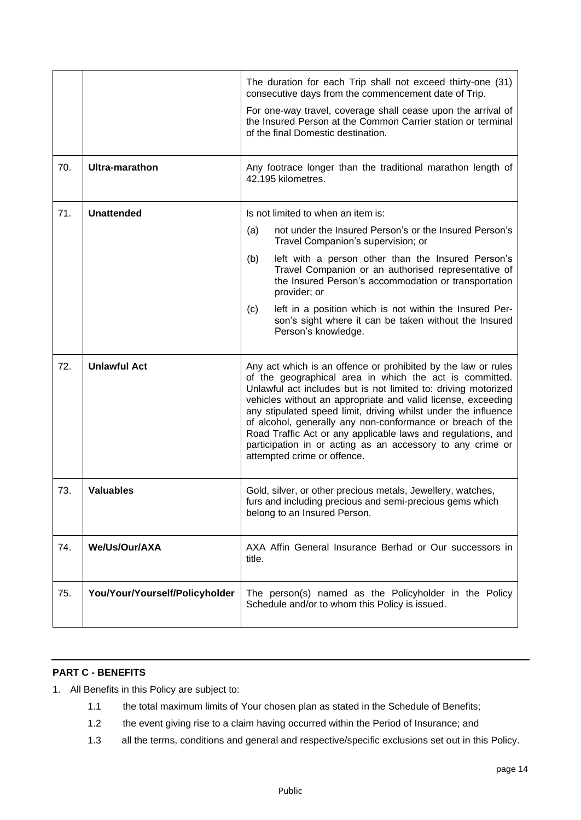|     |                                | The duration for each Trip shall not exceed thirty-one (31)<br>consecutive days from the commencement date of Trip.                                                                                                                                                                                                                                                                                                                                                                                                                                     |  |
|-----|--------------------------------|---------------------------------------------------------------------------------------------------------------------------------------------------------------------------------------------------------------------------------------------------------------------------------------------------------------------------------------------------------------------------------------------------------------------------------------------------------------------------------------------------------------------------------------------------------|--|
|     |                                | For one-way travel, coverage shall cease upon the arrival of<br>the Insured Person at the Common Carrier station or terminal<br>of the final Domestic destination.                                                                                                                                                                                                                                                                                                                                                                                      |  |
| 70. | <b>Ultra-marathon</b>          | Any footrace longer than the traditional marathon length of<br>42.195 kilometres.                                                                                                                                                                                                                                                                                                                                                                                                                                                                       |  |
| 71. | <b>Unattended</b>              | Is not limited to when an item is:                                                                                                                                                                                                                                                                                                                                                                                                                                                                                                                      |  |
|     |                                | not under the Insured Person's or the Insured Person's<br>(a)<br>Travel Companion's supervision; or                                                                                                                                                                                                                                                                                                                                                                                                                                                     |  |
|     |                                | left with a person other than the Insured Person's<br>(b)<br>Travel Companion or an authorised representative of<br>the Insured Person's accommodation or transportation<br>provider; or                                                                                                                                                                                                                                                                                                                                                                |  |
|     |                                | left in a position which is not within the Insured Per-<br>(c)<br>son's sight where it can be taken without the Insured<br>Person's knowledge.                                                                                                                                                                                                                                                                                                                                                                                                          |  |
| 72. | <b>Unlawful Act</b>            | Any act which is an offence or prohibited by the law or rules<br>of the geographical area in which the act is committed.<br>Unlawful act includes but is not limited to: driving motorized<br>vehicles without an appropriate and valid license, exceeding<br>any stipulated speed limit, driving whilst under the influence<br>of alcohol, generally any non-conformance or breach of the<br>Road Traffic Act or any applicable laws and regulations, and<br>participation in or acting as an accessory to any crime or<br>attempted crime or offence. |  |
| 73. | <b>Valuables</b>               | Gold, silver, or other precious metals, Jewellery, watches,<br>furs and including precious and semi-precious gems which<br>belong to an Insured Person.                                                                                                                                                                                                                                                                                                                                                                                                 |  |
| 74. | We/Us/Our/AXA                  | AXA Affin General Insurance Berhad or Our successors in<br>title.                                                                                                                                                                                                                                                                                                                                                                                                                                                                                       |  |
| 75. | You/Your/Yourself/Policyholder | The person(s) named as the Policyholder in the Policy<br>Schedule and/or to whom this Policy is issued.                                                                                                                                                                                                                                                                                                                                                                                                                                                 |  |

# **PART C - BENEFITS**

- 1. All Benefits in this Policy are subject to:
	- 1.1 the total maximum limits of Your chosen plan as stated in the Schedule of Benefits;
	- 1.2 the event giving rise to a claim having occurred within the Period of Insurance; and
	- 1.3 all the terms, conditions and general and respective/specific exclusions set out in this Policy.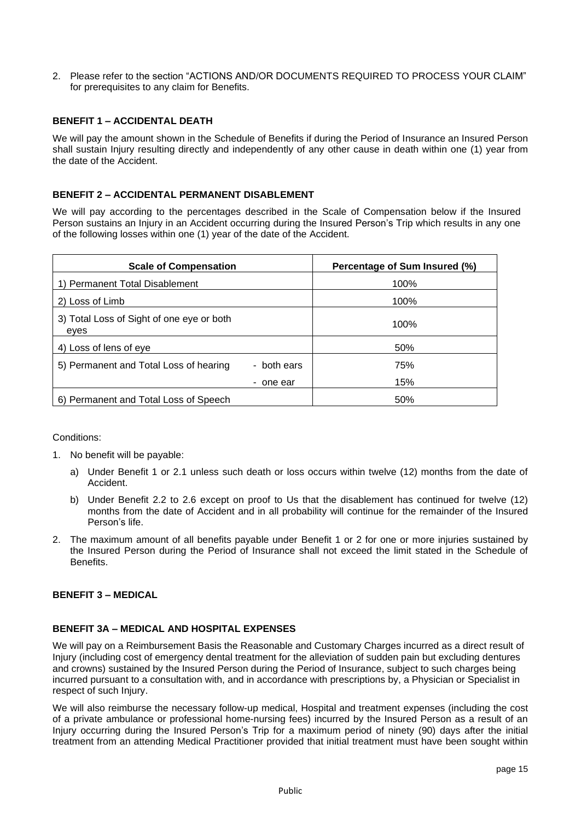2. Please refer to the section "ACTIONS AND/OR DOCUMENTS REQUIRED TO PROCESS YOUR CLAIM" for prerequisites to any claim for Benefits.

## **BENEFIT 1 – ACCIDENTAL DEATH**

We will pay the amount shown in the Schedule of Benefits if during the Period of Insurance an Insured Person shall sustain Injury resulting directly and independently of any other cause in death within one (1) year from the date of the Accident.

### **BENEFIT 2 – ACCIDENTAL PERMANENT DISABLEMENT**

We will pay according to the percentages described in the Scale of Compensation below if the Insured Person sustains an Injury in an Accident occurring during the Insured Person's Trip which results in any one of the following losses within one (1) year of the date of the Accident.

| <b>Scale of Compensation</b>                      |             | Percentage of Sum Insured (%) |
|---------------------------------------------------|-------------|-------------------------------|
| 1) Permanent Total Disablement                    |             | 100%                          |
| 2) Loss of Limb                                   |             | 100%                          |
| 3) Total Loss of Sight of one eye or both<br>eyes |             | 100%                          |
| 4) Loss of lens of eye                            |             | 50%                           |
| 5) Permanent and Total Loss of hearing            | - both ears | 75%                           |
|                                                   | - one ear   | 15%                           |
| 6) Permanent and Total Loss of Speech             |             | 50%                           |

#### Conditions:

- 1. No benefit will be payable:
	- a) Under Benefit 1 or 2.1 unless such death or loss occurs within twelve (12) months from the date of Accident.
	- b) Under Benefit 2.2 to 2.6 except on proof to Us that the disablement has continued for twelve (12) months from the date of Accident and in all probability will continue for the remainder of the Insured Person's life.
- 2. The maximum amount of all benefits payable under Benefit 1 or 2 for one or more injuries sustained by the Insured Person during the Period of Insurance shall not exceed the limit stated in the Schedule of **Benefits**

# **BENEFIT 3 – MEDICAL**

#### **BENEFIT 3A – MEDICAL AND HOSPITAL EXPENSES**

We will pay on a Reimbursement Basis the Reasonable and Customary Charges incurred as a direct result of Injury (including cost of emergency dental treatment for the alleviation of sudden pain but excluding dentures and crowns) sustained by the Insured Person during the Period of Insurance, subject to such charges being incurred pursuant to a consultation with, and in accordance with prescriptions by, a Physician or Specialist in respect of such Injury.

We will also reimburse the necessary follow-up medical, Hospital and treatment expenses (including the cost of a private ambulance or professional home-nursing fees) incurred by the Insured Person as a result of an Injury occurring during the Insured Person's Trip for a maximum period of ninety (90) days after the initial treatment from an attending Medical Practitioner provided that initial treatment must have been sought within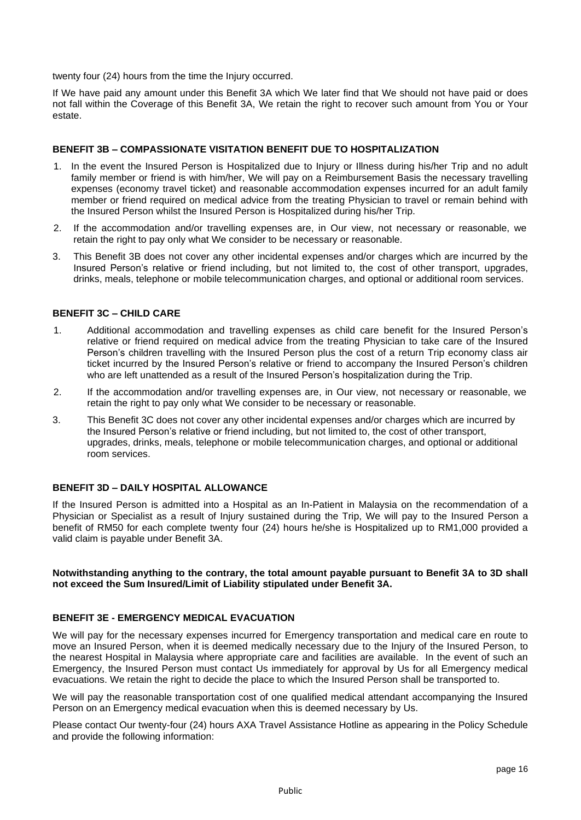twenty four (24) hours from the time the Injury occurred.

If We have paid any amount under this Benefit 3A which We later find that We should not have paid or does not fall within the Coverage of this Benefit 3A, We retain the right to recover such amount from You or Your estate.

### **BENEFIT 3B – COMPASSIONATE VISITATION BENEFIT DUE TO HOSPITALIZATION**

- 1. In the event the Insured Person is Hospitalized due to Injury or Illness during his/her Trip and no adult family member or friend is with him/her, We will pay on a Reimbursement Basis the necessary travelling expenses (economy travel ticket) and reasonable accommodation expenses incurred for an adult family member or friend required on medical advice from the treating Physician to travel or remain behind with the Insured Person whilst the Insured Person is Hospitalized during his/her Trip.
- 2. If the accommodation and/or travelling expenses are, in Our view, not necessary or reasonable, we retain the right to pay only what We consider to be necessary or reasonable.
- 3. This Benefit 3B does not cover any other incidental expenses and/or charges which are incurred by the Insured Person's relative or friend including, but not limited to, the cost of other transport, upgrades, drinks, meals, telephone or mobile telecommunication charges, and optional or additional room services.

### **BENEFIT 3C – CHILD CARE**

- 1. Additional accommodation and travelling expenses as child care benefit for the Insured Person's relative or friend required on medical advice from the treating Physician to take care of the Insured Person's children travelling with the Insured Person plus the cost of a return Trip economy class air ticket incurred by the Insured Person's relative or friend to accompany the Insured Person's children who are left unattended as a result of the Insured Person's hospitalization during the Trip.
- 2. If the accommodation and/or travelling expenses are, in Our view, not necessary or reasonable, we retain the right to pay only what We consider to be necessary or reasonable.
- 3. This Benefit 3C does not cover any other incidental expenses and/or charges which are incurred by the Insured Person's relative or friend including, but not limited to, the cost of other transport, upgrades, drinks, meals, telephone or mobile telecommunication charges, and optional or additional room services.

## **BENEFIT 3D – DAILY HOSPITAL ALLOWANCE**

If the Insured Person is admitted into a Hospital as an In-Patient in Malaysia on the recommendation of a Physician or Specialist as a result of Injury sustained during the Trip, We will pay to the Insured Person a benefit of RM50 for each complete twenty four (24) hours he/she is Hospitalized up to RM1,000 provided a valid claim is payable under Benefit 3A.

#### **Notwithstanding anything to the contrary, the total amount payable pursuant to Benefit 3A to 3D shall not exceed the Sum Insured/Limit of Liability stipulated under Benefit 3A.**

#### **BENEFIT 3E - EMERGENCY MEDICAL EVACUATION**

We will pay for the necessary expenses incurred for Emergency transportation and medical care en route to move an Insured Person, when it is deemed medically necessary due to the Injury of the Insured Person, to the nearest Hospital in Malaysia where appropriate care and facilities are available. In the event of such an Emergency, the Insured Person must contact Us immediately for approval by Us for all Emergency medical evacuations. We retain the right to decide the place to which the Insured Person shall be transported to.

We will pay the reasonable transportation cost of one qualified medical attendant accompanying the Insured Person on an Emergency medical evacuation when this is deemed necessary by Us.

Please contact Our twenty-four (24) hours AXA Travel Assistance Hotline as appearing in the Policy Schedule and provide the following information: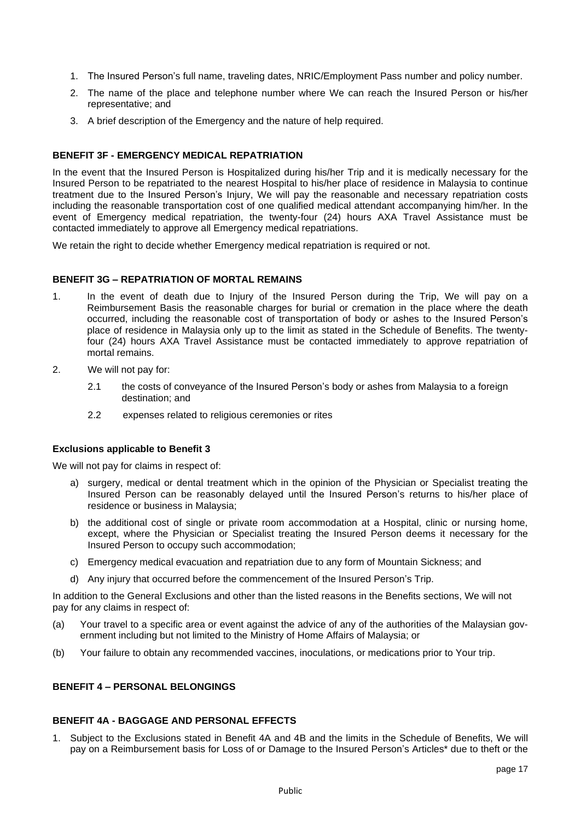- 1. The Insured Person's full name, traveling dates, NRIC/Employment Pass number and policy number.
- 2. The name of the place and telephone number where We can reach the Insured Person or his/her representative; and
- 3. A brief description of the Emergency and the nature of help required.

# **BENEFIT 3F - EMERGENCY MEDICAL REPATRIATION**

In the event that the Insured Person is Hospitalized during his/her Trip and it is medically necessary for the Insured Person to be repatriated to the nearest Hospital to his/her place of residence in Malaysia to continue treatment due to the Insured Person's Injury, We will pay the reasonable and necessary repatriation costs including the reasonable transportation cost of one qualified medical attendant accompanying him/her. In the event of Emergency medical repatriation, the twenty-four (24) hours AXA Travel Assistance must be contacted immediately to approve all Emergency medical repatriations.

We retain the right to decide whether Emergency medical repatriation is required or not.

#### **BENEFIT 3G – REPATRIATION OF MORTAL REMAINS**

- 1. In the event of death due to Injury of the Insured Person during the Trip, We will pay on a Reimbursement Basis the reasonable charges for burial or cremation in the place where the death occurred, including the reasonable cost of transportation of body or ashes to the Insured Person's place of residence in Malaysia only up to the limit as stated in the Schedule of Benefits. The twentyfour (24) hours AXA Travel Assistance must be contacted immediately to approve repatriation of mortal remains.
- 2. We will not pay for:
	- 2.1 the costs of conveyance of the Insured Person's body or ashes from Malaysia to a foreign destination; and
	- 2.2 expenses related to religious ceremonies or rites

#### **Exclusions applicable to Benefit 3**

We will not pay for claims in respect of:

- a) surgery, medical or dental treatment which in the opinion of the Physician or Specialist treating the Insured Person can be reasonably delayed until the Insured Person's returns to his/her place of residence or business in Malaysia;
- b) the additional cost of single or private room accommodation at a Hospital, clinic or nursing home, except, where the Physician or Specialist treating the Insured Person deems it necessary for the Insured Person to occupy such accommodation;
- c) Emergency medical evacuation and repatriation due to any form of Mountain Sickness; and
- d) Any injury that occurred before the commencement of the Insured Person's Trip.

In addition to the General Exclusions and other than the listed reasons in the Benefits sections, We will not pay for any claims in respect of:

- (a) Your travel to a specific area or event against the advice of any of the authorities of the Malaysian government including but not limited to the Ministry of Home Affairs of Malaysia; or
- (b) Your failure to obtain any recommended vaccines, inoculations, or medications prior to Your trip.

# **BENEFIT 4 – PERSONAL BELONGINGS**

## **BENEFIT 4A - BAGGAGE AND PERSONAL EFFECTS**

1. Subject to the Exclusions stated in Benefit 4A and 4B and the limits in the Schedule of Benefits, We will pay on a Reimbursement basis for Loss of or Damage to the Insured Person's Articles\* due to theft or the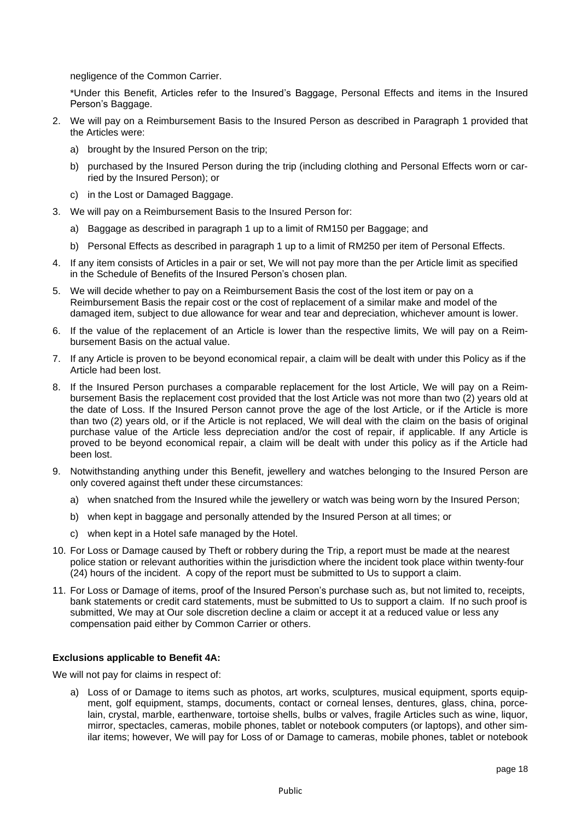negligence of the Common Carrier.

\*Under this Benefit, Articles refer to the Insured's Baggage, Personal Effects and items in the Insured Person's Baggage.

- 2. We will pay on a Reimbursement Basis to the Insured Person as described in Paragraph 1 provided that the Articles were:
	- a) brought by the Insured Person on the trip;
	- b) purchased by the Insured Person during the trip (including clothing and Personal Effects worn or carried by the Insured Person); or
	- c) in the Lost or Damaged Baggage.
- 3. We will pay on a Reimbursement Basis to the Insured Person for:
	- a) Baggage as described in paragraph 1 up to a limit of RM150 per Baggage; and
	- b) Personal Effects as described in paragraph 1 up to a limit of RM250 per item of Personal Effects.
- 4. If any item consists of Articles in a pair or set, We will not pay more than the per Article limit as specified in the Schedule of Benefits of the Insured Person's chosen plan.
- 5. We will decide whether to pay on a Reimbursement Basis the cost of the lost item or pay on a Reimbursement Basis the repair cost or the cost of replacement of a similar make and model of the damaged item, subject to due allowance for wear and tear and depreciation, whichever amount is lower.
- 6. If the value of the replacement of an Article is lower than the respective limits, We will pay on a Reimbursement Basis on the actual value.
- 7. If any Article is proven to be beyond economical repair, a claim will be dealt with under this Policy as if the Article had been lost.
- 8. If the Insured Person purchases a comparable replacement for the lost Article, We will pay on a Reimbursement Basis the replacement cost provided that the lost Article was not more than two (2) years old at the date of Loss. If the Insured Person cannot prove the age of the lost Article, or if the Article is more than two (2) years old, or if the Article is not replaced, We will deal with the claim on the basis of original purchase value of the Article less depreciation and/or the cost of repair, if applicable. If any Article is proved to be beyond economical repair, a claim will be dealt with under this policy as if the Article had been lost.
- 9. Notwithstanding anything under this Benefit, jewellery and watches belonging to the Insured Person are only covered against theft under these circumstances:
	- a) when snatched from the Insured while the jewellery or watch was being worn by the Insured Person;
	- b) when kept in baggage and personally attended by the Insured Person at all times; or
	- c) when kept in a Hotel safe managed by the Hotel.
- 10. For Loss or Damage caused by Theft or robbery during the Trip, a report must be made at the nearest police station or relevant authorities within the jurisdiction where the incident took place within twenty-four (24) hours of the incident. A copy of the report must be submitted to Us to support a claim.
- 11. For Loss or Damage of items, proof of the Insured Person's purchase such as, but not limited to, receipts, bank statements or credit card statements, must be submitted to Us to support a claim. If no such proof is submitted, We may at Our sole discretion decline a claim or accept it at a reduced value or less any compensation paid either by Common Carrier or others.

# **Exclusions applicable to Benefit 4A:**

We will not pay for claims in respect of:

a) Loss of or Damage to items such as photos, art works, sculptures, musical equipment, sports equipment, golf equipment, stamps, documents, contact or corneal lenses, dentures, glass, china, porcelain, crystal, marble, earthenware, tortoise shells, bulbs or valves, fragile Articles such as wine, liquor, mirror, spectacles, cameras, mobile phones, tablet or notebook computers (or laptops), and other similar items; however, We will pay for Loss of or Damage to cameras, mobile phones, tablet or notebook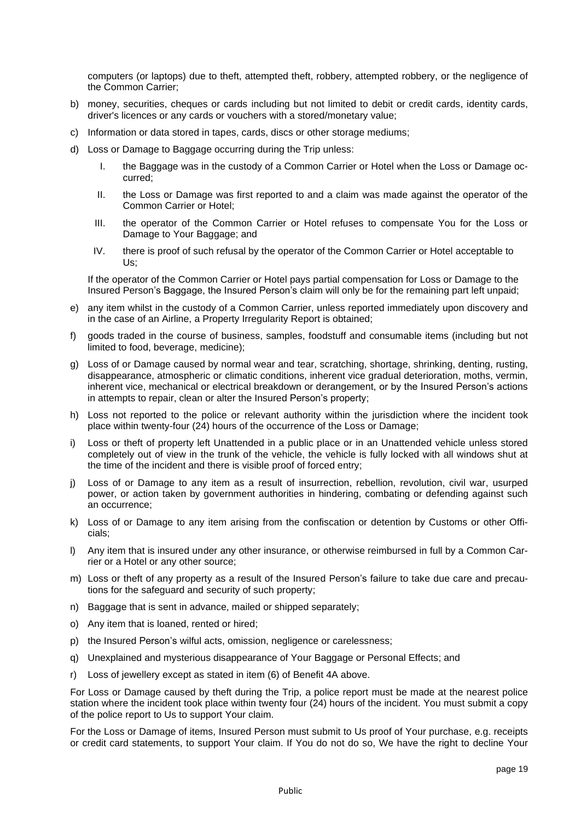computers (or laptops) due to theft, attempted theft, robbery, attempted robbery, or the negligence of the Common Carrier;

- b) money, securities, cheques or cards including but not limited to debit or credit cards, identity cards, driver's licences or any cards or vouchers with a stored/monetary value;
- c) Information or data stored in tapes, cards, discs or other storage mediums;
- d) Loss or Damage to Baggage occurring during the Trip unless:
	- I. the Baggage was in the custody of a Common Carrier or Hotel when the Loss or Damage occurred;
	- II. the Loss or Damage was first reported to and a claim was made against the operator of the Common Carrier or Hotel;
	- III. the operator of the Common Carrier or Hotel refuses to compensate You for the Loss or Damage to Your Baggage; and
	- IV. there is proof of such refusal by the operator of the Common Carrier or Hotel acceptable to Us;

If the operator of the Common Carrier or Hotel pays partial compensation for Loss or Damage to the Insured Person's Baggage, the Insured Person's claim will only be for the remaining part left unpaid;

- e) any item whilst in the custody of a Common Carrier, unless reported immediately upon discovery and in the case of an Airline, a Property Irregularity Report is obtained;
- f) goods traded in the course of business, samples, foodstuff and consumable items (including but not limited to food, beverage, medicine);
- g) Loss of or Damage caused by normal wear and tear, scratching, shortage, shrinking, denting, rusting, disappearance, atmospheric or climatic conditions, inherent vice gradual deterioration, moths, vermin, inherent vice, mechanical or electrical breakdown or derangement, or by the Insured Person's actions in attempts to repair, clean or alter the Insured Person's property;
- h) Loss not reported to the police or relevant authority within the jurisdiction where the incident took place within twenty-four (24) hours of the occurrence of the Loss or Damage;
- i) Loss or theft of property left Unattended in a public place or in an Unattended vehicle unless stored completely out of view in the trunk of the vehicle, the vehicle is fully locked with all windows shut at the time of the incident and there is visible proof of forced entry;
- j) Loss of or Damage to any item as a result of insurrection, rebellion, revolution, civil war, usurped power, or action taken by government authorities in hindering, combating or defending against such an occurrence;
- k) Loss of or Damage to any item arising from the confiscation or detention by Customs or other Officials;
- l) Any item that is insured under any other insurance, or otherwise reimbursed in full by a Common Carrier or a Hotel or any other source;
- m) Loss or theft of any property as a result of the Insured Person's failure to take due care and precautions for the safeguard and security of such property;
- n) Baggage that is sent in advance, mailed or shipped separately;
- o) Any item that is loaned, rented or hired;
- p) the Insured Person's wilful acts, omission, negligence or carelessness;
- q) Unexplained and mysterious disappearance of Your Baggage or Personal Effects; and
- r) Loss of jewellery except as stated in item (6) of Benefit 4A above.

For Loss or Damage caused by theft during the Trip, a police report must be made at the nearest police station where the incident took place within twenty four (24) hours of the incident. You must submit a copy of the police report to Us to support Your claim.

For the Loss or Damage of items, Insured Person must submit to Us proof of Your purchase, e.g. receipts or credit card statements, to support Your claim. If You do not do so, We have the right to decline Your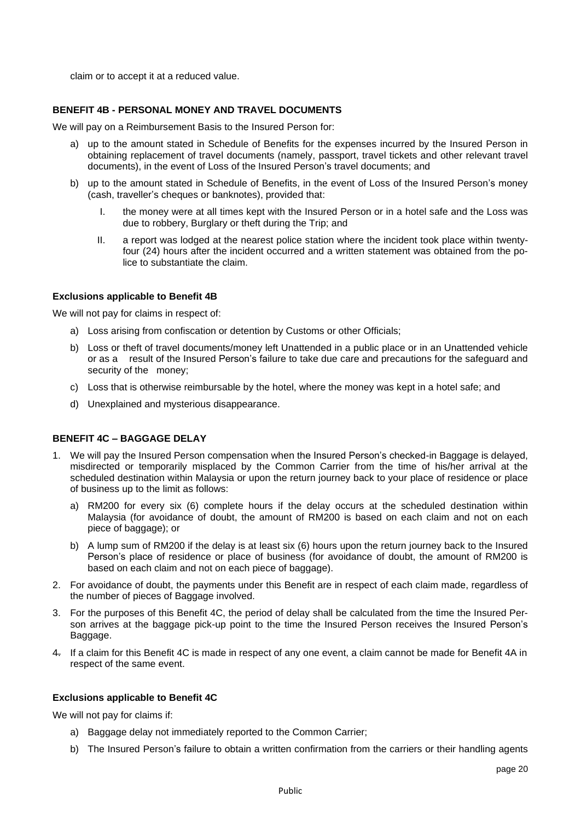claim or to accept it at a reduced value.

### **BENEFIT 4B - PERSONAL MONEY AND TRAVEL DOCUMENTS**

We will pay on a Reimbursement Basis to the Insured Person for:

- a) up to the amount stated in Schedule of Benefits for the expenses incurred by the Insured Person in obtaining replacement of travel documents (namely, passport, travel tickets and other relevant travel documents), in the event of Loss of the Insured Person's travel documents; and
- b) up to the amount stated in Schedule of Benefits, in the event of Loss of the Insured Person's money (cash, traveller's cheques or banknotes), provided that:
	- I. the money were at all times kept with the Insured Person or in a hotel safe and the Loss was due to robbery, Burglary or theft during the Trip; and
	- II. a report was lodged at the nearest police station where the incident took place within twentyfour (24) hours after the incident occurred and a written statement was obtained from the police to substantiate the claim.

#### **Exclusions applicable to Benefit 4B**

We will not pay for claims in respect of:

- a) Loss arising from confiscation or detention by Customs or other Officials;
- b) Loss or theft of travel documents/money left Unattended in a public place or in an Unattended vehicle or as a result of the Insured Person's failure to take due care and precautions for the safeguard and security of the money;
- c) Loss that is otherwise reimbursable by the hotel, where the money was kept in a hotel safe; and
- d) Unexplained and mysterious disappearance.

## **BENEFIT 4C – BAGGAGE DELAY**

- 1. We will pay the Insured Person compensation when the Insured Person's checked-in Baggage is delayed, misdirected or temporarily misplaced by the Common Carrier from the time of his/her arrival at the scheduled destination within Malaysia or upon the return journey back to your place of residence or place of business up to the limit as follows:
	- a) RM200 for every six (6) complete hours if the delay occurs at the scheduled destination within Malaysia (for avoidance of doubt, the amount of RM200 is based on each claim and not on each piece of baggage); or
	- b) A lump sum of RM200 if the delay is at least six (6) hours upon the return journey back to the Insured Person's place of residence or place of business (for avoidance of doubt, the amount of RM200 is based on each claim and not on each piece of baggage).
- 2. For avoidance of doubt, the payments under this Benefit are in respect of each claim made, regardless of the number of pieces of Baggage involved.
- 3. For the purposes of this Benefit 4C, the period of delay shall be calculated from the time the Insured Person arrives at the baggage pick-up point to the time the Insured Person receives the Insured Person's Baggage.
- 4. If a claim for this Benefit 4C is made in respect of any one event, a claim cannot be made for Benefit 4A in respect of the same event.

#### **Exclusions applicable to Benefit 4C**

We will not pay for claims if:

- a) Baggage delay not immediately reported to the Common Carrier;
- b) The Insured Person's failure to obtain a written confirmation from the carriers or their handling agents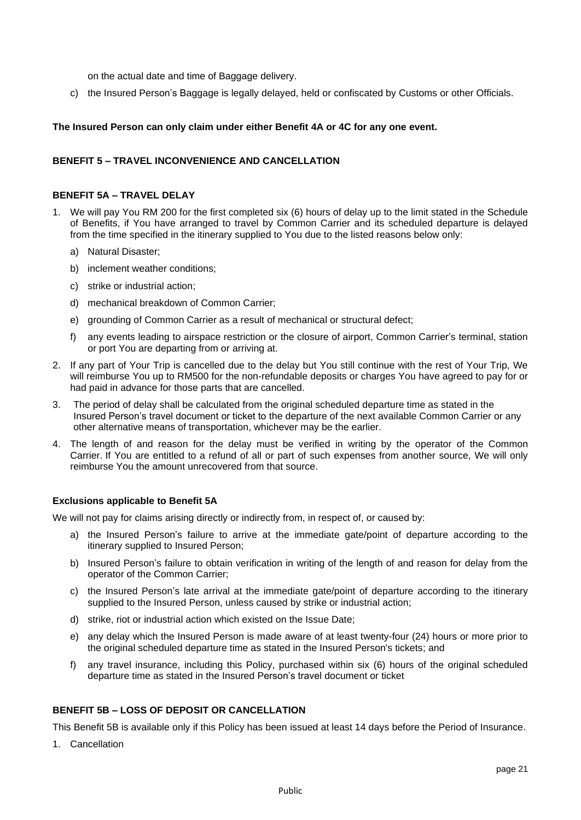on the actual date and time of Baggage delivery.

c) the Insured Person's Baggage is legally delayed, held or confiscated by Customs or other Officials.

## **The Insured Person can only claim under either Benefit 4A or 4C for any one event.**

### **BENEFIT 5 – TRAVEL INCONVENIENCE AND CANCELLATION**

#### **BENEFIT 5A – TRAVEL DELAY**

- 1. We will pay You RM 200 for the first completed six (6) hours of delay up to the limit stated in the Schedule of Benefits, if You have arranged to travel by Common Carrier and its scheduled departure is delayed from the time specified in the itinerary supplied to You due to the listed reasons below only:
	- a) Natural Disaster;
	- b) inclement weather conditions;
	- c) strike or industrial action;
	- d) mechanical breakdown of Common Carrier;
	- e) grounding of Common Carrier as a result of mechanical or structural defect;
	- f) any events leading to airspace restriction or the closure of airport, Common Carrier's terminal, station or port You are departing from or arriving at.
- 2. If any part of Your Trip is cancelled due to the delay but You still continue with the rest of Your Trip, We will reimburse You up to RM500 for the non-refundable deposits or charges You have agreed to pay for or had paid in advance for those parts that are cancelled.
- 3. The period of delay shall be calculated from the original scheduled departure time as stated in the Insured Person's travel document or ticket to the departure of the next available Common Carrier or any other alternative means of transportation, whichever may be the earlier.
- 4. The length of and reason for the delay must be verified in writing by the operator of the Common Carrier. If You are entitled to a refund of all or part of such expenses from another source, We will only reimburse You the amount unrecovered from that source.

#### **Exclusions applicable to Benefit 5A**

We will not pay for claims arising directly or indirectly from, in respect of, or caused by:

- a) the Insured Person's failure to arrive at the immediate gate/point of departure according to the itinerary supplied to Insured Person;
- b) Insured Person's failure to obtain verification in writing of the length of and reason for delay from the operator of the Common Carrier;
- c) the Insured Person's late arrival at the immediate gate/point of departure according to the itinerary supplied to the Insured Person, unless caused by strike or industrial action;
- d) strike, riot or industrial action which existed on the Issue Date;
- e) any delay which the Insured Person is made aware of at least twenty-four (24) hours or more prior to the original scheduled departure time as stated in the Insured Person's tickets; and
- f) any travel insurance, including this Policy, purchased within six (6) hours of the original scheduled departure time as stated in the Insured Person's travel document or ticket

### **BENEFIT 5B – LOSS OF DEPOSIT OR CANCELLATION**

This Benefit 5B is available only if this Policy has been issued at least 14 days before the Period of Insurance.

1. Cancellation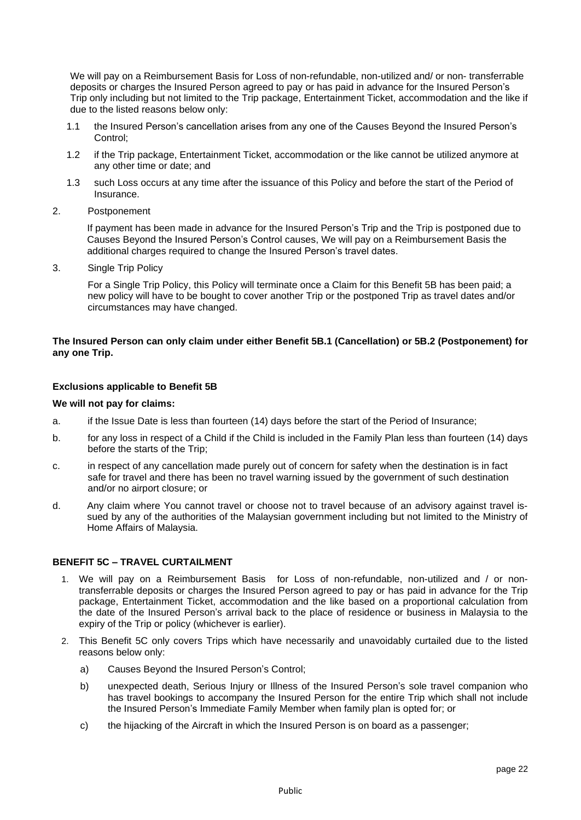We will pay on a Reimbursement Basis for Loss of non-refundable, non-utilized and/ or non- transferrable deposits or charges the Insured Person agreed to pay or has paid in advance for the Insured Person's Trip only including but not limited to the Trip package, Entertainment Ticket, accommodation and the like if due to the listed reasons below only:

- 1.1 the Insured Person's cancellation arises from any one of the Causes Beyond the Insured Person's Control;
- 1.2 if the Trip package, Entertainment Ticket, accommodation or the like cannot be utilized anymore at any other time or date; and
- 1.3 such Loss occurs at any time after the issuance of this Policy and before the start of the Period of Insurance.
- 2. Postponement

If payment has been made in advance for the Insured Person's Trip and the Trip is postponed due to Causes Beyond the Insured Person's Control causes, We will pay on a Reimbursement Basis the additional charges required to change the Insured Person's travel dates.

3. Single Trip Policy

For a Single Trip Policy, this Policy will terminate once a Claim for this Benefit 5B has been paid; a new policy will have to be bought to cover another Trip or the postponed Trip as travel dates and/or circumstances may have changed.

### **The Insured Person can only claim under either Benefit 5B.1 (Cancellation) or 5B.2 (Postponement) for any one Trip.**

### **Exclusions applicable to Benefit 5B**

#### **We will not pay for claims:**

- a. if the Issue Date is less than fourteen (14) days before the start of the Period of Insurance;
- b. for any loss in respect of a Child if the Child is included in the Family Plan less than fourteen (14) days before the starts of the Trip;
- c. in respect of any cancellation made purely out of concern for safety when the destination is in fact safe for travel and there has been no travel warning issued by the government of such destination and/or no airport closure; or
- d. Any claim where You cannot travel or choose not to travel because of an advisory against travel issued by any of the authorities of the Malaysian government including but not limited to the Ministry of Home Affairs of Malaysia.

# **BENEFIT 5C – TRAVEL CURTAILMENT**

- 1. We will pay on a Reimbursement Basis for Loss of non-refundable, non-utilized and / or nontransferrable deposits or charges the Insured Person agreed to pay or has paid in advance for the Trip package, Entertainment Ticket, accommodation and the like based on a proportional calculation from the date of the Insured Person's arrival back to the place of residence or business in Malaysia to the expiry of the Trip or policy (whichever is earlier).
- 2. This Benefit 5C only covers Trips which have necessarily and unavoidably curtailed due to the listed reasons below only:
	- a) Causes Beyond the Insured Person's Control;
	- b) unexpected death, Serious Injury or Illness of the Insured Person's sole travel companion who has travel bookings to accompany the Insured Person for the entire Trip which shall not include the Insured Person's Immediate Family Member when family plan is opted for; or
	- c) the hijacking of the Aircraft in which the Insured Person is on board as a passenger;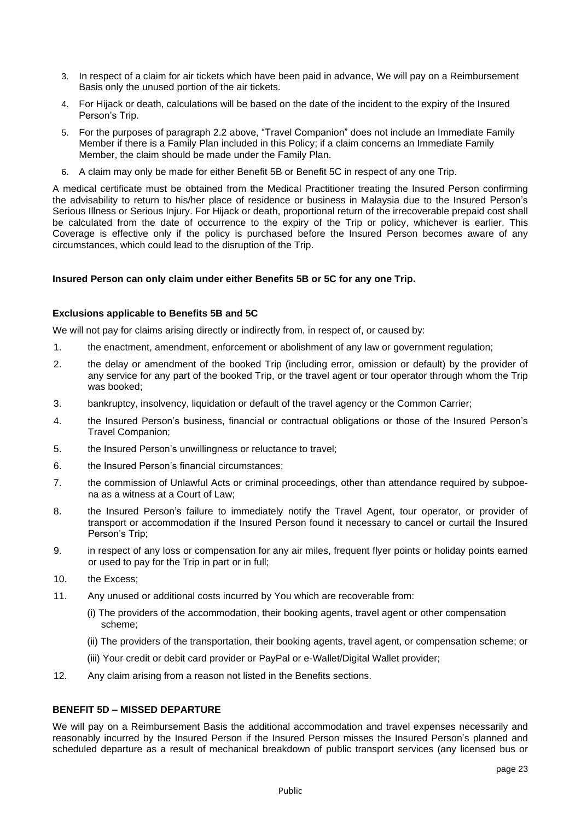- 3. In respect of a claim for air tickets which have been paid in advance, We will pay on a Reimbursement Basis only the unused portion of the air tickets.
- 4. For Hijack or death, calculations will be based on the date of the incident to the expiry of the Insured Person's Trip.
- 5. For the purposes of paragraph 2.2 above, "Travel Companion" does not include an Immediate Family Member if there is a Family Plan included in this Policy; if a claim concerns an Immediate Family Member, the claim should be made under the Family Plan.
- 6. A claim may only be made for either Benefit 5B or Benefit 5C in respect of any one Trip.

A medical certificate must be obtained from the Medical Practitioner treating the Insured Person confirming the advisability to return to his/her place of residence or business in Malaysia due to the Insured Person's Serious Illness or Serious Injury. For Hijack or death, proportional return of the irrecoverable prepaid cost shall be calculated from the date of occurrence to the expiry of the Trip or policy, whichever is earlier. This Coverage is effective only if the policy is purchased before the Insured Person becomes aware of any circumstances, which could lead to the disruption of the Trip.

### **Insured Person can only claim under either Benefits 5B or 5C for any one Trip.**

### **Exclusions applicable to Benefits 5B and 5C**

We will not pay for claims arising directly or indirectly from, in respect of, or caused by:

- 1. the enactment, amendment, enforcement or abolishment of any law or government regulation;
- 2. the delay or amendment of the booked Trip (including error, omission or default) by the provider of any service for any part of the booked Trip, or the travel agent or tour operator through whom the Trip was booked;
- 3. bankruptcy, insolvency, liquidation or default of the travel agency or the Common Carrier;
- 4. the Insured Person's business, financial or contractual obligations or those of the Insured Person's Travel Companion;
- 5. the Insured Person's unwillingness or reluctance to travel;
- 6. the Insured Person's financial circumstances;
- 7. the commission of Unlawful Acts or criminal proceedings, other than attendance required by subpoena as a witness at a Court of Law;
- 8. the Insured Person's failure to immediately notify the Travel Agent, tour operator, or provider of transport or accommodation if the Insured Person found it necessary to cancel or curtail the Insured Person's Trip;
- 9. in respect of any loss or compensation for any air miles, frequent flyer points or holiday points earned or used to pay for the Trip in part or in full;
- 10. the Excess;
- 11. Any unused or additional costs incurred by You which are recoverable from:
	- (i) The providers of the accommodation, their booking agents, travel agent or other compensation scheme;
	- (ii) The providers of the transportation, their booking agents, travel agent, or compensation scheme; or
	- (iii) Your credit or debit card provider or PayPal or e-Wallet/Digital Wallet provider;
- 12. Any claim arising from a reason not listed in the Benefits sections.

# **BENEFIT 5D – MISSED DEPARTURE**

We will pay on a Reimbursement Basis the additional accommodation and travel expenses necessarily and reasonably incurred by the Insured Person if the Insured Person misses the Insured Person's planned and scheduled departure as a result of mechanical breakdown of public transport services (any licensed bus or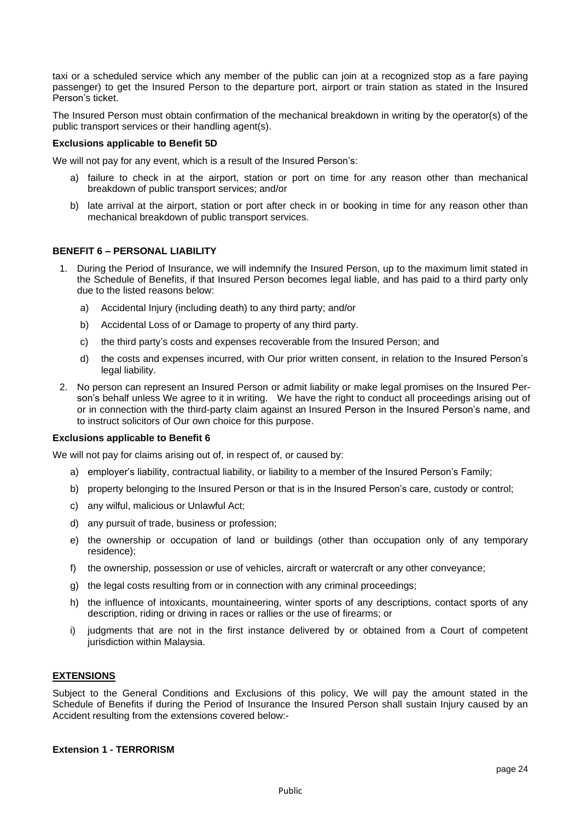taxi or a scheduled service which any member of the public can join at a recognized stop as a fare paying passenger) to get the Insured Person to the departure port, airport or train station as stated in the Insured Person's ticket.

The Insured Person must obtain confirmation of the mechanical breakdown in writing by the operator(s) of the public transport services or their handling agent(s).

#### **Exclusions applicable to Benefit 5D**

We will not pay for any event, which is a result of the Insured Person's:

- a) failure to check in at the airport, station or port on time for any reason other than mechanical breakdown of public transport services; and/or
- b) late arrival at the airport, station or port after check in or booking in time for any reason other than mechanical breakdown of public transport services.

## **BENEFIT 6 – PERSONAL LIABILITY**

- 1. During the Period of Insurance, we will indemnify the Insured Person, up to the maximum limit stated in the Schedule of Benefits, if that Insured Person becomes legal liable, and has paid to a third party only due to the listed reasons below:
	- a) Accidental Injury (including death) to any third party; and/or
	- b) Accidental Loss of or Damage to property of any third party.
	- c) the third party's costs and expenses recoverable from the Insured Person; and
	- d) the costs and expenses incurred, with Our prior written consent, in relation to the Insured Person's legal liability.
- 2. No person can represent an Insured Person or admit liability or make legal promises on the Insured Person's behalf unless We agree to it in writing. We have the right to conduct all proceedings arising out of or in connection with the third-party claim against an Insured Person in the Insured Person's name, and to instruct solicitors of Our own choice for this purpose.

#### **Exclusions applicable to Benefit 6**

We will not pay for claims arising out of, in respect of, or caused by:

- a) employer's liability, contractual liability, or liability to a member of the Insured Person's Family;
- b) property belonging to the Insured Person or that is in the Insured Person's care, custody or control;
- c) any wilful, malicious or Unlawful Act;
- d) any pursuit of trade, business or profession;
- e) the ownership or occupation of land or buildings (other than occupation only of any temporary residence);
- f) the ownership, possession or use of vehicles, aircraft or watercraft or any other conveyance;
- g) the legal costs resulting from or in connection with any criminal proceedings;
- h) the influence of intoxicants, mountaineering, winter sports of any descriptions, contact sports of any description, riding or driving in races or rallies or the use of firearms; or
- i) judgments that are not in the first instance delivered by or obtained from a Court of competent jurisdiction within Malaysia.

#### **EXTENSIONS**

Subject to the General Conditions and Exclusions of this policy, We will pay the amount stated in the Schedule of Benefits if during the Period of Insurance the Insured Person shall sustain Injury caused by an Accident resulting from the extensions covered below:-

#### **Extension 1 - TERRORISM**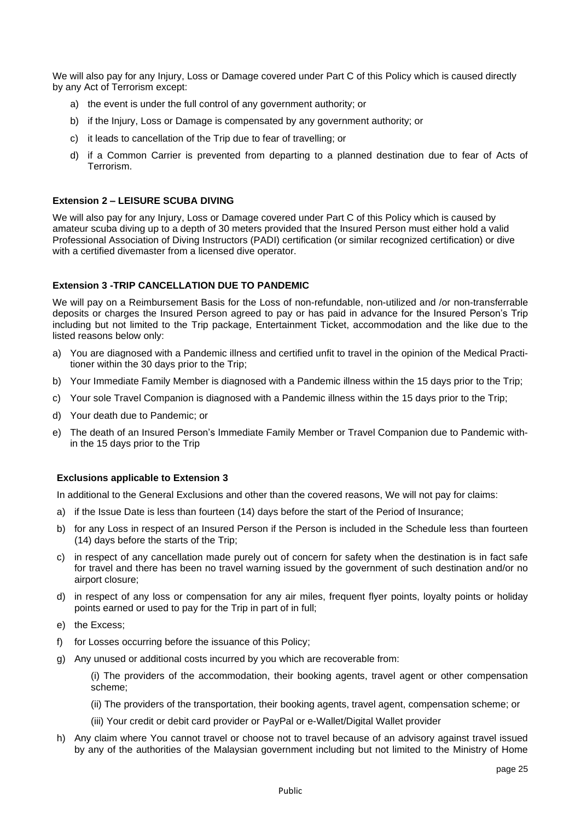We will also pay for any Injury, Loss or Damage covered under Part C of this Policy which is caused directly by any Act of Terrorism except:

- a) the event is under the full control of any government authority; or
- b) if the Injury, Loss or Damage is compensated by any government authority; or
- c) it leads to cancellation of the Trip due to fear of travelling; or
- d) if a Common Carrier is prevented from departing to a planned destination due to fear of Acts of Terrorism.

## **Extension 2 – LEISURE SCUBA DIVING**

We will also pay for any Injury, Loss or Damage covered under Part C of this Policy which is caused by amateur scuba diving up to a depth of 30 meters provided that the Insured Person must either hold a valid Professional Association of Diving Instructors (PADI) certification (or similar recognized certification) or dive with a certified divemaster from a licensed dive operator.

### **Extension 3 -TRIP CANCELLATION DUE TO PANDEMIC**

We will pay on a Reimbursement Basis for the Loss of non-refundable, non-utilized and /or non-transferrable deposits or charges the Insured Person agreed to pay or has paid in advance for the Insured Person's Trip including but not limited to the Trip package, Entertainment Ticket, accommodation and the like due to the listed reasons below only:

- a) You are diagnosed with a Pandemic illness and certified unfit to travel in the opinion of the Medical Practitioner within the 30 days prior to the Trip;
- b) Your Immediate Family Member is diagnosed with a Pandemic illness within the 15 days prior to the Trip;
- c) Your sole Travel Companion is diagnosed with a Pandemic illness within the 15 days prior to the Trip;
- d) Your death due to Pandemic; or
- e) The death of an Insured Person's Immediate Family Member or Travel Companion due to Pandemic within the 15 days prior to the Trip

#### **Exclusions applicable to Extension 3**

In additional to the General Exclusions and other than the covered reasons, We will not pay for claims:

- a) if the Issue Date is less than fourteen (14) days before the start of the Period of Insurance;
- b) for any Loss in respect of an Insured Person if the Person is included in the Schedule less than fourteen (14) days before the starts of the Trip;
- c) in respect of any cancellation made purely out of concern for safety when the destination is in fact safe for travel and there has been no travel warning issued by the government of such destination and/or no airport closure;
- d) in respect of any loss or compensation for any air miles, frequent flyer points, loyalty points or holiday points earned or used to pay for the Trip in part of in full;
- e) the Excess;
- f) for Losses occurring before the issuance of this Policy;
- g) Any unused or additional costs incurred by you which are recoverable from:

(i) The providers of the accommodation, their booking agents, travel agent or other compensation scheme;

- (ii) The providers of the transportation, their booking agents, travel agent, compensation scheme; or
- (iii) Your credit or debit card provider or PayPal or e-Wallet/Digital Wallet provider
- h) Any claim where You cannot travel or choose not to travel because of an advisory against travel issued by any of the authorities of the Malaysian government including but not limited to the Ministry of Home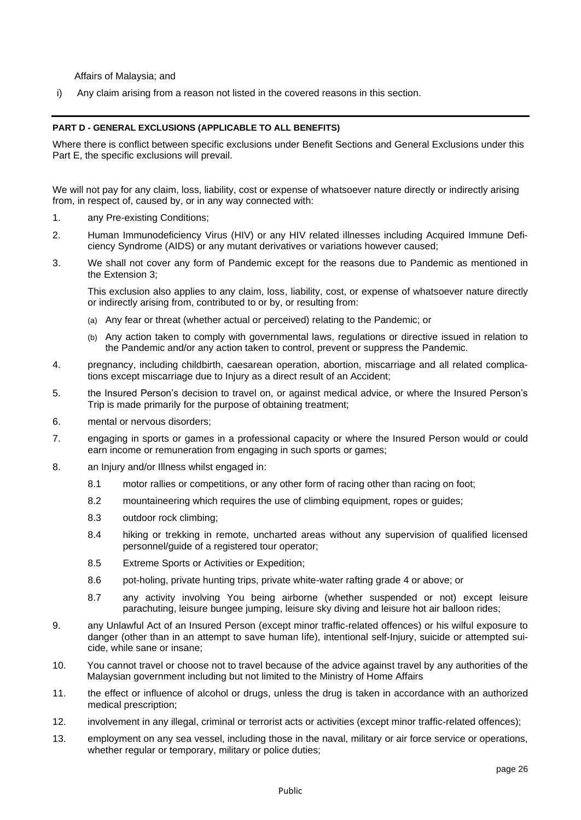Affairs of Malaysia; and

i) Any claim arising from a reason not listed in the covered reasons in this section.

#### **PART D - GENERAL EXCLUSIONS (APPLICABLE TO ALL BENEFITS)**

Where there is conflict between specific exclusions under Benefit Sections and General Exclusions under this Part E, the specific exclusions will prevail.

We will not pay for any claim, loss, liability, cost or expense of whatsoever nature directly or indirectly arising from, in respect of, caused by, or in any way connected with:

- 1. any Pre-existing Conditions;
- 2. Human Immunodeficiency Virus (HIV) or any HIV related illnesses including Acquired Immune Deficiency Syndrome (AIDS) or any mutant derivatives or variations however caused;
- 3. We shall not cover any form of Pandemic except for the reasons due to Pandemic as mentioned in the Extension 3;

This exclusion also applies to any claim, loss, liability, cost, or expense of whatsoever nature directly or indirectly arising from, contributed to or by, or resulting from:

- (a) Any fear or threat (whether actual or perceived) relating to the Pandemic; or
- (b) Any action taken to comply with governmental laws, regulations or directive issued in relation to the Pandemic and/or any action taken to control, prevent or suppress the Pandemic.
- 4. pregnancy, including childbirth, caesarean operation, abortion, miscarriage and all related complications except miscarriage due to Injury as a direct result of an Accident;
- 5. the Insured Person's decision to travel on, or against medical advice, or where the Insured Person's Trip is made primarily for the purpose of obtaining treatment;
- 6. mental or nervous disorders;
- 7. engaging in sports or games in a professional capacity or where the Insured Person would or could earn income or remuneration from engaging in such sports or games;
- 8. an Injury and/or Illness whilst engaged in:
	- 8.1 motor rallies or competitions, or any other form of racing other than racing on foot;
	- 8.2 mountaineering which requires the use of climbing equipment, ropes or guides;
	- 8.3 outdoor rock climbing;
	- 8.4 hiking or trekking in remote, uncharted areas without any supervision of qualified licensed personnel/guide of a registered tour operator;
	- 8.5 Extreme Sports or Activities or Expedition;
	- 8.6 pot-holing, private hunting trips, private white-water rafting grade 4 or above; or
	- 8.7 any activity involving You being airborne (whether suspended or not) except leisure parachuting, leisure bungee jumping, leisure sky diving and leisure hot air balloon rides;
- 9. any Unlawful Act of an Insured Person (except minor traffic-related offences) or his wilful exposure to danger (other than in an attempt to save human life), intentional self-Injury, suicide or attempted suicide, while sane or insane;
- 10. You cannot travel or choose not to travel because of the advice against travel by any authorities of the Malaysian government including but not limited to the Ministry of Home Affairs
- 11. the effect or influence of alcohol or drugs, unless the drug is taken in accordance with an authorized medical prescription;
- 12. involvement in any illegal, criminal or terrorist acts or activities (except minor traffic-related offences);
- 13. employment on any sea vessel, including those in the naval, military or air force service or operations, whether regular or temporary, military or police duties;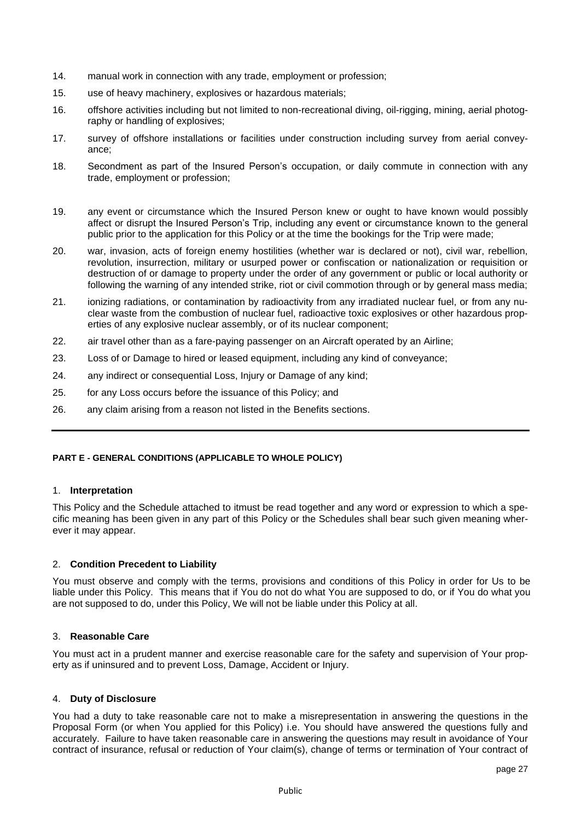- 14. manual work in connection with any trade, employment or profession;
- 15. use of heavy machinery, explosives or hazardous materials;
- 16. offshore activities including but not limited to non-recreational diving, oil-rigging, mining, aerial photography or handling of explosives;
- 17. survey of offshore installations or facilities under construction including survey from aerial conveyance;
- 18. Secondment as part of the Insured Person's occupation, or daily commute in connection with any trade, employment or profession;
- 19. any event or circumstance which the Insured Person knew or ought to have known would possibly affect or disrupt the Insured Person's Trip, including any event or circumstance known to the general public prior to the application for this Policy or at the time the bookings for the Trip were made;
- 20. war, invasion, acts of foreign enemy hostilities (whether war is declared or not), civil war, rebellion, revolution, insurrection, military or usurped power or confiscation or nationalization or requisition or destruction of or damage to property under the order of any government or public or local authority or following the warning of any intended strike, riot or civil commotion through or by general mass media;
- 21. ionizing radiations, or contamination by radioactivity from any irradiated nuclear fuel, or from any nuclear waste from the combustion of nuclear fuel, radioactive toxic explosives or other hazardous properties of any explosive nuclear assembly, or of its nuclear component;
- 22. air travel other than as a fare-paying passenger on an Aircraft operated by an Airline;
- 23. Loss of or Damage to hired or leased equipment, including any kind of conveyance;
- 24. any indirect or consequential Loss, Injury or Damage of any kind;
- 25. for any Loss occurs before the issuance of this Policy; and
- 26. any claim arising from a reason not listed in the Benefits sections.

# **PART E - GENERAL CONDITIONS (APPLICABLE TO WHOLE POLICY)**

#### 1. **Interpretation**

This Policy and the Schedule attached to itmust be read together and any word or expression to which a specific meaning has been given in any part of this Policy or the Schedules shall bear such given meaning wherever it may appear.

# 2. **Condition Precedent to Liability**

You must observe and comply with the terms, provisions and conditions of this Policy in order for Us to be liable under this Policy. This means that if You do not do what You are supposed to do, or if You do what you are not supposed to do, under this Policy, We will not be liable under this Policy at all.

# 3. **Reasonable Care**

You must act in a prudent manner and exercise reasonable care for the safety and supervision of Your property as if uninsured and to prevent Loss, Damage, Accident or Injury.

#### 4. **Duty of Disclosure**

You had a duty to take reasonable care not to make a misrepresentation in answering the questions in the Proposal Form (or when You applied for this Policy) i.e. You should have answered the questions fully and accurately. Failure to have taken reasonable care in answering the questions may result in avoidance of Your contract of insurance, refusal or reduction of Your claim(s), change of terms or termination of Your contract of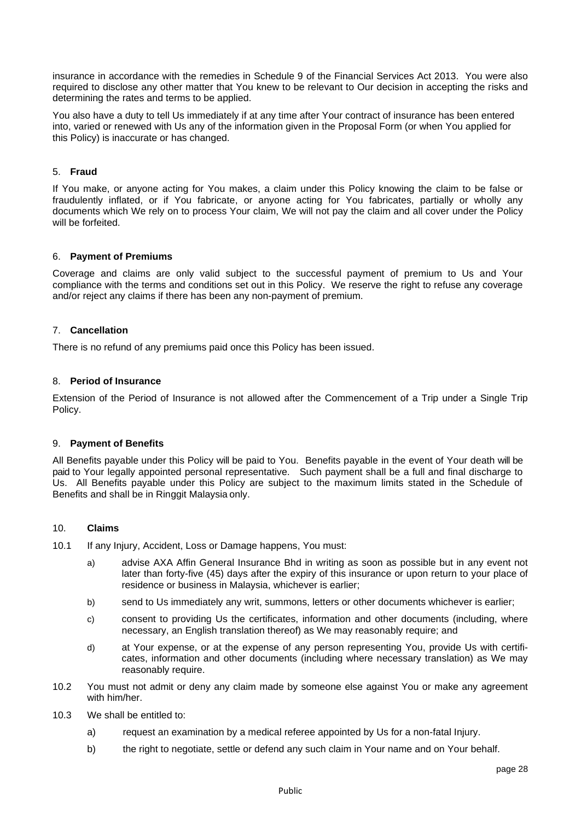insurance in accordance with the remedies in Schedule 9 of the Financial Services Act 2013. You were also required to disclose any other matter that You knew to be relevant to Our decision in accepting the risks and determining the rates and terms to be applied.

You also have a duty to tell Us immediately if at any time after Your contract of insurance has been entered into, varied or renewed with Us any of the information given in the Proposal Form (or when You applied for this Policy) is inaccurate or has changed.

## 5. **Fraud**

If You make, or anyone acting for You makes, a claim under this Policy knowing the claim to be false or fraudulently inflated, or if You fabricate, or anyone acting for You fabricates, partially or wholly any documents which We rely on to process Your claim, We will not pay the claim and all cover under the Policy will be forfeited.

#### 6. **Payment of Premiums**

Coverage and claims are only valid subject to the successful payment of premium to Us and Your compliance with the terms and conditions set out in this Policy. We reserve the right to refuse any coverage and/or reject any claims if there has been any non-payment of premium.

### 7. **Cancellation**

There is no refund of any premiums paid once this Policy has been issued.

### 8. **Period of Insurance**

Extension of the Period of Insurance is not allowed after the Commencement of a Trip under a Single Trip Policy.

#### 9. **Payment of Benefits**

All Benefits payable under this Policy will be paid to You. Benefits payable in the event of Your death will be paid to Your legally appointed personal representative. Such payment shall be a full and final discharge to Us. All Benefits payable under this Policy are subject to the maximum limits stated in the Schedule of Benefits and shall be in Ringgit Malaysia only.

# 10. **Claims**

- 10.1 If any Injury, Accident, Loss or Damage happens, You must:
	- a) advise AXA Affin General Insurance Bhd in writing as soon as possible but in any event not later than forty-five (45) days after the expiry of this insurance or upon return to your place of residence or business in Malaysia, whichever is earlier;
	- b) send to Us immediately any writ, summons, letters or other documents whichever is earlier;
	- c) consent to providing Us the certificates, information and other documents (including, where necessary, an English translation thereof) as We may reasonably require; and
	- d) at Your expense, or at the expense of any person representing You, provide Us with certificates, information and other documents (including where necessary translation) as We may reasonably require.
- 10.2 You must not admit or deny any claim made by someone else against You or make any agreement with him/her.
- 10.3 We shall be entitled to:
	- a) request an examination by a medical referee appointed by Us for a non-fatal Injury.
	- b) the right to negotiate, settle or defend any such claim in Your name and on Your behalf.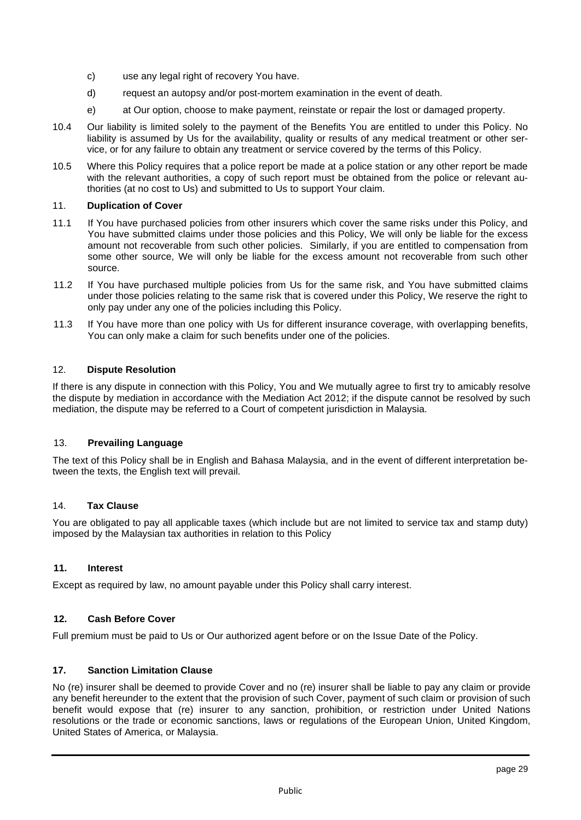- c) use any legal right of recovery You have.
- d) request an autopsy and/or post-mortem examination in the event of death.
- e) at Our option, choose to make payment, reinstate or repair the lost or damaged property.
- 10.4 Our liability is limited solely to the payment of the Benefits You are entitled to under this Policy. No liability is assumed by Us for the availability, quality or results of any medical treatment or other service, or for any failure to obtain any treatment or service covered by the terms of this Policy.
- 10.5 Where this Policy requires that a police report be made at a police station or any other report be made with the relevant authorities, a copy of such report must be obtained from the police or relevant authorities (at no cost to Us) and submitted to Us to support Your claim.

# 11. **Duplication of Cover**

- 11.1 If You have purchased policies from other insurers which cover the same risks under this Policy, and You have submitted claims under those policies and this Policy, We will only be liable for the excess amount not recoverable from such other policies. Similarly, if you are entitled to compensation from some other source, We will only be liable for the excess amount not recoverable from such other source.
- 11.2 If You have purchased multiple policies from Us for the same risk, and You have submitted claims under those policies relating to the same risk that is covered under this Policy, We reserve the right to only pay under any one of the policies including this Policy.
- 11.3 If You have more than one policy with Us for different insurance coverage, with overlapping benefits, You can only make a claim for such benefits under one of the policies.

# 12. **Dispute Resolution**

If there is any dispute in connection with this Policy, You and We mutually agree to first try to amicably resolve the dispute by mediation in accordance with the Mediation Act 2012; if the dispute cannot be resolved by such mediation, the dispute may be referred to a Court of competent jurisdiction in Malaysia.

# 13. **Prevailing Language**

The text of this Policy shall be in English and Bahasa Malaysia, and in the event of different interpretation between the texts, the English text will prevail.

# 14. **Tax Clause**

You are obligated to pay all applicable taxes (which include but are not limited to service tax and stamp duty) imposed by the Malaysian tax authorities in relation to this Policy

# **11. Interest**

Except as required by law, no amount payable under this Policy shall carry interest.

# **12. Cash Before Cover**

Full premium must be paid to Us or Our authorized agent before or on the Issue Date of the Policy.

# **17. Sanction Limitation Clause**

No (re) insurer shall be deemed to provide Cover and no (re) insurer shall be liable to pay any claim or provide any benefit hereunder to the extent that the provision of such Cover, payment of such claim or provision of such benefit would expose that (re) insurer to any sanction, prohibition, or restriction under United Nations resolutions or the trade or economic sanctions, laws or regulations of the European Union, United Kingdom, United States of America, or Malaysia.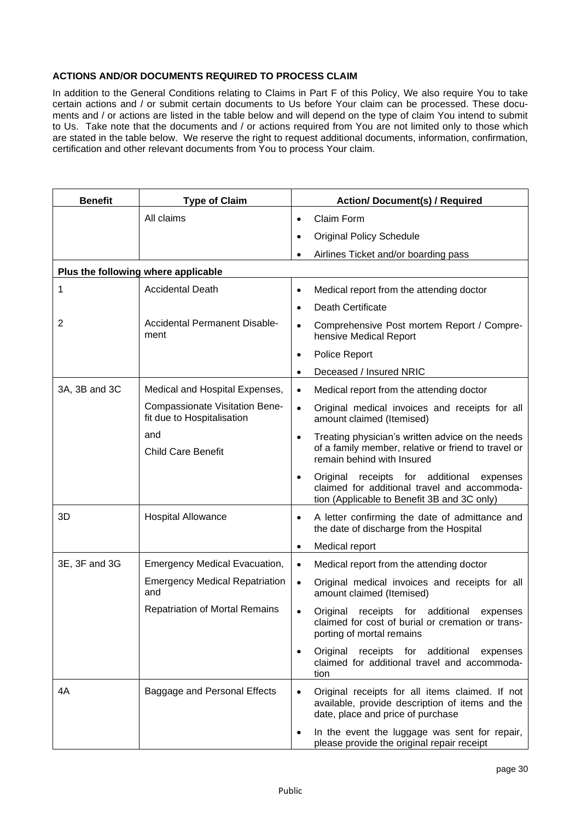# **ACTIONS AND/OR DOCUMENTS REQUIRED TO PROCESS CLAIM**

In addition to the General Conditions relating to Claims in Part F of this Policy, We also require You to take certain actions and / or submit certain documents to Us before Your claim can be processed. These documents and / or actions are listed in the table below and will depend on the type of claim You intend to submit to Us. Take note that the documents and / or actions required from You are not limited only to those which are stated in the table below. We reserve the right to request additional documents, information, confirmation, certification and other relevant documents from You to process Your claim.

| <b>Benefit</b> | <b>Type of Claim</b>                                         |           | <b>Action/ Document(s) / Required</b>                                                                                                          |
|----------------|--------------------------------------------------------------|-----------|------------------------------------------------------------------------------------------------------------------------------------------------|
|                | All claims                                                   |           | Claim Form                                                                                                                                     |
|                |                                                              |           | <b>Original Policy Schedule</b>                                                                                                                |
|                |                                                              |           | Airlines Ticket and/or boarding pass                                                                                                           |
|                | Plus the following where applicable                          |           |                                                                                                                                                |
| 1              | <b>Accidental Death</b>                                      | $\bullet$ | Medical report from the attending doctor                                                                                                       |
|                |                                                              |           | <b>Death Certificate</b>                                                                                                                       |
| $\overline{2}$ | Accidental Permanent Disable-<br>ment                        |           | Comprehensive Post mortem Report / Compre-<br>hensive Medical Report                                                                           |
|                |                                                              |           | Police Report                                                                                                                                  |
|                |                                                              |           | Deceased / Insured NRIC                                                                                                                        |
| 3A, 3B and 3C  | Medical and Hospital Expenses,                               | $\bullet$ | Medical report from the attending doctor                                                                                                       |
|                | Compassionate Visitation Bene-<br>fit due to Hospitalisation | $\bullet$ | Original medical invoices and receipts for all<br>amount claimed (Itemised)                                                                    |
|                | and<br><b>Child Care Benefit</b>                             | $\bullet$ | Treating physician's written advice on the needs<br>of a family member, relative or friend to travel or<br>remain behind with Insured          |
|                |                                                              |           | Original<br>receipts for additional<br>expenses<br>claimed for additional travel and accommoda-<br>tion (Applicable to Benefit 3B and 3C only) |
| 3D             | <b>Hospital Allowance</b>                                    | $\bullet$ | A letter confirming the date of admittance and<br>the date of discharge from the Hospital                                                      |
|                |                                                              |           | Medical report                                                                                                                                 |
| 3E, 3F and 3G  | <b>Emergency Medical Evacuation,</b>                         | $\bullet$ | Medical report from the attending doctor                                                                                                       |
|                | <b>Emergency Medical Repatriation</b><br>and                 | $\bullet$ | Original medical invoices and receipts for all<br>amount claimed (Itemised)                                                                    |
|                | <b>Repatriation of Mortal Remains</b>                        |           | receipts for additional<br>Original<br>expenses<br>claimed for cost of burial or cremation or trans-<br>porting of mortal remains              |
|                |                                                              |           | Original<br>receipts for<br>additional<br>expenses<br>claimed for additional travel and accommoda-<br>tion                                     |
| 4A             | Baggage and Personal Effects                                 |           | Original receipts for all items claimed. If not<br>available, provide description of items and the<br>date, place and price of purchase        |
|                |                                                              |           | In the event the luggage was sent for repair,<br>please provide the original repair receipt                                                    |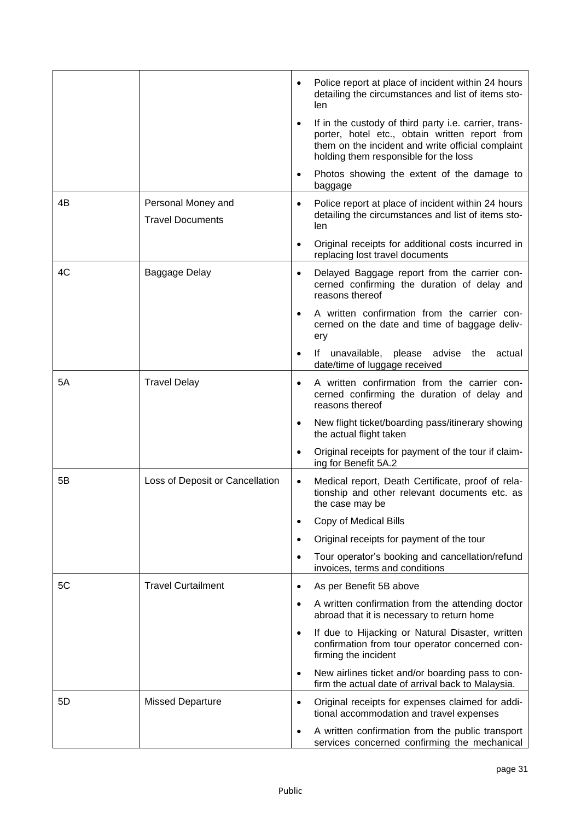|    |                                               | Police report at place of incident within 24 hours<br>detailing the circumstances and list of items sto-<br>len                                                                                       |
|----|-----------------------------------------------|-------------------------------------------------------------------------------------------------------------------------------------------------------------------------------------------------------|
|    |                                               | If in the custody of third party i.e. carrier, trans-<br>porter, hotel etc., obtain written report from<br>them on the incident and write official complaint<br>holding them responsible for the loss |
|    |                                               | Photos showing the extent of the damage to<br>baggage                                                                                                                                                 |
| 4B | Personal Money and<br><b>Travel Documents</b> | Police report at place of incident within 24 hours<br>detailing the circumstances and list of items sto-<br>len                                                                                       |
|    |                                               | Original receipts for additional costs incurred in<br>replacing lost travel documents                                                                                                                 |
| 4C | Baggage Delay                                 | Delayed Baggage report from the carrier con-<br>cerned confirming the duration of delay and<br>reasons thereof                                                                                        |
|    |                                               | A written confirmation from the carrier con-<br>cerned on the date and time of baggage deliv-<br>ery                                                                                                  |
|    |                                               | If unavailable,<br>please advise the actual<br>date/time of luggage received                                                                                                                          |
| 5Α | <b>Travel Delay</b>                           | A written confirmation from the carrier con-<br>cerned confirming the duration of delay and<br>reasons thereof                                                                                        |
|    |                                               | New flight ticket/boarding pass/itinerary showing<br>the actual flight taken                                                                                                                          |
|    |                                               | Original receipts for payment of the tour if claim-<br>ing for Benefit 5A.2                                                                                                                           |
| 5Β | Loss of Deposit or Cancellation               | Medical report, Death Certificate, proof of rela-<br>tionship and other relevant documents etc. as<br>the case may be                                                                                 |
|    |                                               | Copy of Medical Bills<br>$\bullet$                                                                                                                                                                    |
|    |                                               | Original receipts for payment of the tour<br>$\bullet$                                                                                                                                                |
|    |                                               | Tour operator's booking and cancellation/refund<br>$\bullet$<br>invoices, terms and conditions                                                                                                        |
| 5C | <b>Travel Curtailment</b>                     | As per Benefit 5B above<br>$\bullet$                                                                                                                                                                  |
|    |                                               | A written confirmation from the attending doctor<br>$\bullet$<br>abroad that it is necessary to return home                                                                                           |
|    |                                               | If due to Hijacking or Natural Disaster, written<br>$\bullet$<br>confirmation from tour operator concerned con-<br>firming the incident                                                               |
|    |                                               | New airlines ticket and/or boarding pass to con-<br>$\bullet$<br>firm the actual date of arrival back to Malaysia.                                                                                    |
| 5D | <b>Missed Departure</b>                       | Original receipts for expenses claimed for addi-<br>$\bullet$<br>tional accommodation and travel expenses                                                                                             |
|    |                                               | A written confirmation from the public transport<br>$\bullet$<br>services concerned confirming the mechanical                                                                                         |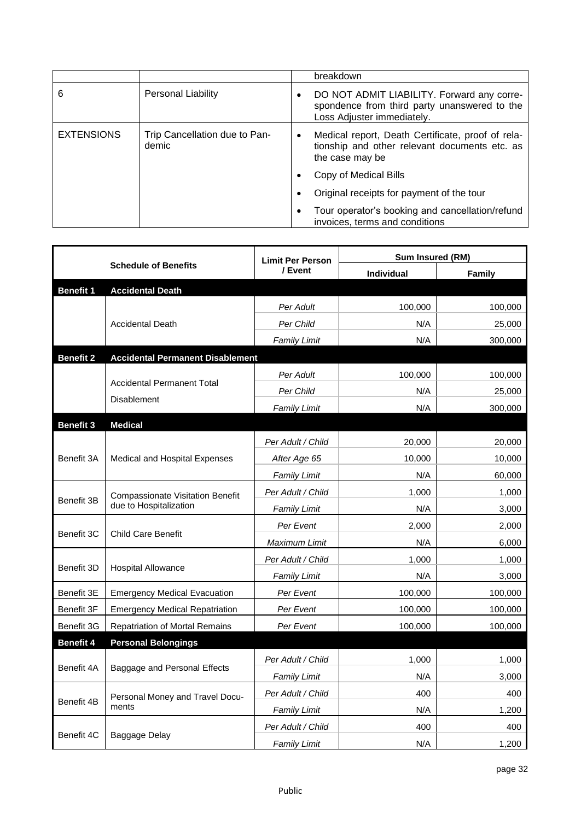|                   |                                        |           | breakdown                                                                                                                |
|-------------------|----------------------------------------|-----------|--------------------------------------------------------------------------------------------------------------------------|
| 6                 | Personal Liability                     | $\bullet$ | DO NOT ADMIT LIABILITY. Forward any corre-<br>spondence from third party unanswered to the<br>Loss Adjuster immediately. |
| <b>EXTENSIONS</b> | Trip Cancellation due to Pan-<br>demic | ٠         | Medical report, Death Certificate, proof of rela-<br>tionship and other relevant documents etc. as<br>the case may be    |
|                   |                                        |           | Copy of Medical Bills                                                                                                    |
|                   |                                        |           | Original receipts for payment of the tour                                                                                |
|                   |                                        | ٠         | Tour operator's booking and cancellation/refund<br>invoices, terms and conditions                                        |

| <b>Schedule of Benefits</b> |                                                                   | <b>Limit Per Person</b> | Sum Insured (RM) |         |  |
|-----------------------------|-------------------------------------------------------------------|-------------------------|------------------|---------|--|
|                             |                                                                   | / Event                 | Individual       | Family  |  |
| <b>Benefit 1</b>            | <b>Accidental Death</b>                                           |                         |                  |         |  |
|                             |                                                                   | Per Adult               | 100,000          | 100,000 |  |
|                             | <b>Accidental Death</b>                                           | Per Child               | N/A              | 25,000  |  |
|                             |                                                                   | <b>Family Limit</b>     | N/A              | 300,000 |  |
| <b>Benefit 2</b>            | <b>Accidental Permanent Disablement</b>                           |                         |                  |         |  |
|                             | <b>Accidental Permanent Total</b><br><b>Disablement</b>           | Per Adult               | 100,000          | 100,000 |  |
|                             |                                                                   | Per Child               | N/A              | 25,000  |  |
|                             |                                                                   | <b>Family Limit</b>     | N/A              | 300,000 |  |
| <b>Benefit 3</b>            | <b>Medical</b>                                                    |                         |                  |         |  |
| Benefit 3A                  | Medical and Hospital Expenses                                     | Per Adult / Child       | 20,000           | 20,000  |  |
|                             |                                                                   | After Age 65            | 10,000           | 10,000  |  |
|                             |                                                                   | Family Limit            | N/A              | 60,000  |  |
| Benefit 3B                  | <b>Compassionate Visitation Benefit</b><br>due to Hospitalization | Per Adult / Child       | 1,000            | 1,000   |  |
|                             |                                                                   | Family Limit            | N/A              | 3,000   |  |
| Benefit 3C                  | <b>Child Care Benefit</b>                                         | Per Event               | 2,000            | 2,000   |  |
|                             |                                                                   | Maximum Limit           | N/A              | 6,000   |  |
| Benefit 3D                  |                                                                   | Per Adult / Child       | 1,000            | 1,000   |  |
|                             | <b>Hospital Allowance</b>                                         | Family Limit            | N/A              | 3,000   |  |
| Benefit 3E                  | <b>Emergency Medical Evacuation</b>                               | Per Event               | 100,000          | 100,000 |  |
| Benefit 3F                  | <b>Emergency Medical Repatriation</b>                             | Per Event               | 100,000          | 100,000 |  |
| Benefit 3G                  | Repatriation of Mortal Remains                                    | Per Event               | 100,000          | 100,000 |  |
| <b>Benefit 4</b>            | <b>Personal Belongings</b>                                        |                         |                  |         |  |
| Benefit 4A                  | Baggage and Personal Effects                                      | Per Adult / Child       | 1,000            | 1,000   |  |
|                             |                                                                   | Family Limit            | N/A              | 3,000   |  |
| Benefit 4B                  | Personal Money and Travel Docu-                                   | Per Adult / Child       | 400              | 400     |  |
|                             | ments                                                             | <b>Family Limit</b>     | N/A              | 1,200   |  |
| Benefit 4C                  |                                                                   | Per Adult / Child       | 400              | 400     |  |
|                             | Baggage Delay                                                     | <b>Family Limit</b>     | N/A              | 1,200   |  |